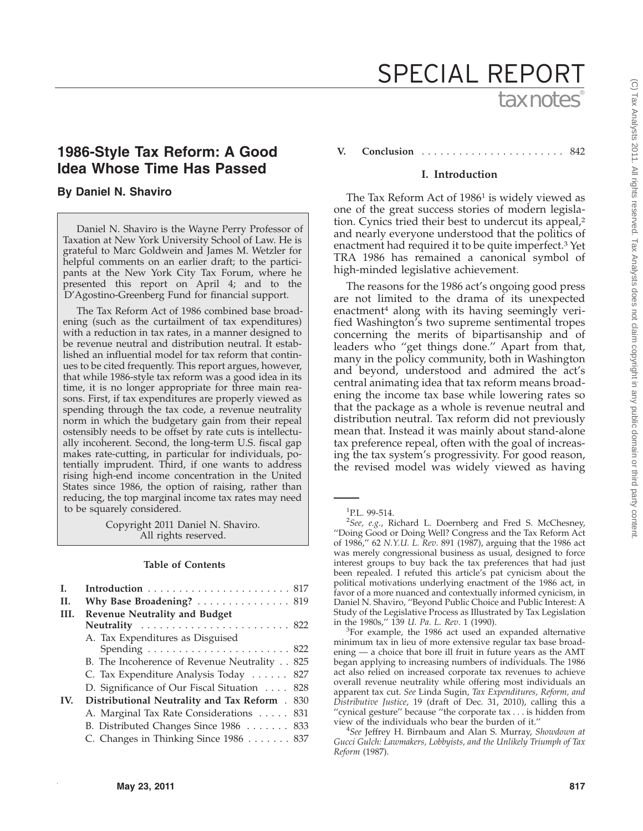# tax notes® SPECIAL REPORT

# **1986-Style Tax Reform: A Good Idea Whose Time Has Passed**

# **By Daniel N. Shaviro**

Daniel N. Shaviro is the Wayne Perry Professor of Taxation at New York University School of Law. He is grateful to Marc Goldwein and James M. Wetzler for helpful comments on an earlier draft; to the participants at the New York City Tax Forum, where he presented this report on April 4; and to the D'Agostino-Greenberg Fund for financial support.

The Tax Reform Act of 1986 combined base broadening (such as the curtailment of tax expenditures) with a reduction in tax rates, in a manner designed to be revenue neutral and distribution neutral. It established an influential model for tax reform that continues to be cited frequently. This report argues, however, that while 1986-style tax reform was a good idea in its time, it is no longer appropriate for three main reasons. First, if tax expenditures are properly viewed as spending through the tax code, a revenue neutrality norm in which the budgetary gain from their repeal ostensibly needs to be offset by rate cuts is intellectually incoherent. Second, the long-term U.S. fiscal gap makes rate-cutting, in particular for individuals, potentially imprudent. Third, if one wants to address rising high-end income concentration in the United States since 1986, the option of raising, rather than reducing, the top marginal income tax rates may need to be squarely considered.

> Copyright 2011 Daniel N. Shaviro. All rights reserved.

## **Table of Contents**

| L.   | Introduction $\ldots \ldots \ldots \ldots \ldots \ldots \ldots 817$ |
|------|---------------------------------------------------------------------|
| H.   | Why Base Broadening? $\ldots \ldots \ldots \ldots \ldots$ 819       |
| III. | <b>Revenue Neutrality and Budget</b>                                |
|      | Neutrality  822                                                     |
|      | A. Tax Expenditures as Disguised                                    |
|      | Spending $\ldots \ldots \ldots \ldots \ldots \ldots \ldots 822$     |
|      | B. The Incoherence of Revenue Neutrality 825                        |
|      | C. Tax Expenditure Analysis Today  827                              |
|      | D. Significance of Our Fiscal Situation 828                         |
| IV.  | <b>Distributional Neutrality and Tax Reform</b> . 830               |
|      | A. Marginal Tax Rate Considerations 831                             |
|      | B. Distributed Changes Since 1986 833                               |
|      | C. Changes in Thinking Since 1986 837                               |
|      |                                                                     |

**V. Conclusion** . . . . . . . . . . . . . . . . . . . . . . . 842

#### **I. Introduction**

The Tax Reform Act of 1986<sup>1</sup> is widely viewed as one of the great success stories of modern legislation. Cynics tried their best to undercut its appeal,2 and nearly everyone understood that the politics of enactment had required it to be quite imperfect.3 Yet TRA 1986 has remained a canonical symbol of high-minded legislative achievement.

The reasons for the 1986 act's ongoing good press are not limited to the drama of its unexpected enactment<sup>4</sup> along with its having seemingly verified Washington's two supreme sentimental tropes concerning the merits of bipartisanship and of leaders who ''get things done.'' Apart from that, many in the policy community, both in Washington and beyond, understood and admired the act's central animating idea that tax reform means broadening the income tax base while lowering rates so that the package as a whole is revenue neutral and distribution neutral. Tax reform did not previously mean that. Instead it was mainly about stand-alone tax preference repeal, often with the goal of increasing the tax system's progressivity. For good reason, the revised model was widely viewed as having

 ${}^{3}$ For example, the 1986 act used an expanded alternative minimum tax in lieu of more extensive regular tax base broadening — a choice that bore ill fruit in future years as the AMT began applying to increasing numbers of individuals. The 1986 act also relied on increased corporate tax revenues to achieve overall revenue neutrality while offering most individuals an apparent tax cut. *See* Linda Sugin, *Tax Expenditures, Reform, and Distributive Justice*, 19 (draft of Dec. 31, 2010), calling this a ''cynical gesture'' because ''the corporate tax . . . is hidden from view of the individuals who bear the burden of it.'' <sup>4</sup>

*See* Jeffrey H. Birnbaum and Alan S. Murray, *Showdown at Gucci Gulch: Lawmakers, Lobbyists, and the Unlikely Triumph of Tax Reform* (1987).

<sup>1</sup> P.L. 99-514.

<sup>2</sup> *See, e.g.*, Richard L. Doernberg and Fred S. McChesney, ''Doing Good or Doing Well? Congress and the Tax Reform Act of 1986,'' 62 *N.Y.U. L. Rev*. 891 (1987), arguing that the 1986 act was merely congressional business as usual, designed to force interest groups to buy back the tax preferences that had just been repealed. I refuted this article's pat cynicism about the political motivations underlying enactment of the 1986 act, in favor of a more nuanced and contextually informed cynicism, in Daniel N. Shaviro, ''Beyond Public Choice and Public Interest: A Study of the Legislative Process as Illustrated by Tax Legislation in the 1980s,'' 139 *U. Pa. L. Rev*. 1 (1990). <sup>3</sup>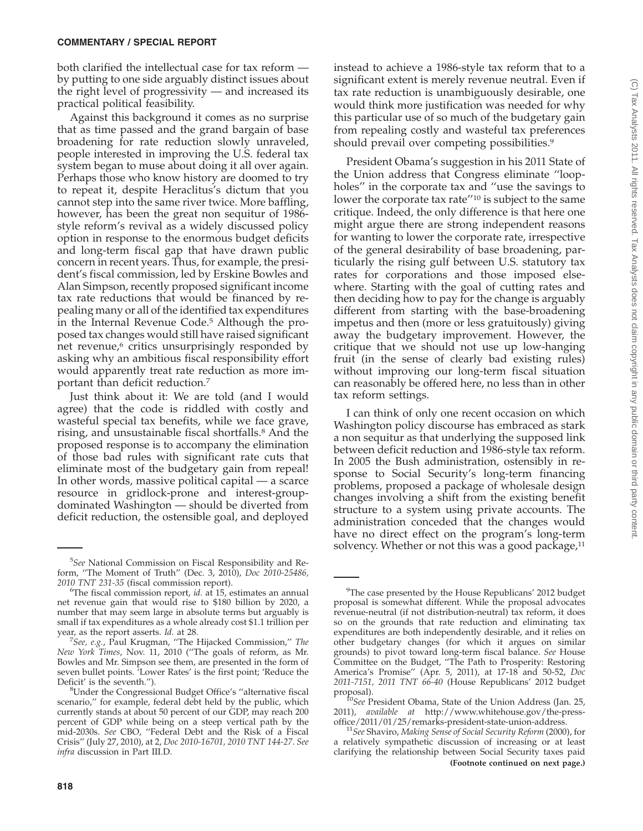both clarified the intellectual case for tax reform by putting to one side arguably distinct issues about the right level of progressivity — and increased its practical political feasibility.

Against this background it comes as no surprise that as time passed and the grand bargain of base broadening for rate reduction slowly unraveled, people interested in improving the U.S. federal tax system began to muse about doing it all over again. Perhaps those who know history are doomed to try to repeat it, despite Heraclitus's dictum that you cannot step into the same river twice. More baffling, however, has been the great non sequitur of 1986 style reform's revival as a widely discussed policy option in response to the enormous budget deficits and long-term fiscal gap that have drawn public concern in recent years. Thus, for example, the president's fiscal commission, led by Erskine Bowles and Alan Simpson, recently proposed significant income tax rate reductions that would be financed by repealing many or all of the identified tax expenditures in the Internal Revenue Code.5 Although the proposed tax changes would still have raised significant net revenue,<sup>6</sup> critics unsurprisingly responded by asking why an ambitious fiscal responsibility effort would apparently treat rate reduction as more important than deficit reduction.7

Just think about it: We are told (and I would agree) that the code is riddled with costly and wasteful special tax benefits, while we face grave, rising, and unsustainable fiscal shortfalls.8 And the proposed response is to accompany the elimination of those bad rules with significant rate cuts that eliminate most of the budgetary gain from repeal! In other words, massive political capital — a scarce resource in gridlock-prone and interest-groupdominated Washington — should be diverted from deficit reduction, the ostensible goal, and deployed

instead to achieve a 1986-style tax reform that to a significant extent is merely revenue neutral. Even if tax rate reduction is unambiguously desirable, one would think more justification was needed for why this particular use of so much of the budgetary gain from repealing costly and wasteful tax preferences should prevail over competing possibilities.<sup>9</sup>

President Obama's suggestion in his 2011 State of the Union address that Congress eliminate ''loopholes'' in the corporate tax and ''use the savings to lower the corporate tax rate''10 is subject to the same critique. Indeed, the only difference is that here one might argue there are strong independent reasons for wanting to lower the corporate rate, irrespective of the general desirability of base broadening, particularly the rising gulf between U.S. statutory tax rates for corporations and those imposed elsewhere. Starting with the goal of cutting rates and then deciding how to pay for the change is arguably different from starting with the base-broadening impetus and then (more or less gratuitously) giving away the budgetary improvement. However, the critique that we should not use up low-hanging fruit (in the sense of clearly bad existing rules) without improving our long-term fiscal situation can reasonably be offered here, no less than in other tax reform settings.

I can think of only one recent occasion on which Washington policy discourse has embraced as stark a non sequitur as that underlying the supposed link between deficit reduction and 1986-style tax reform. In 2005 the Bush administration, ostensibly in response to Social Security's long-term financing problems, proposed a package of wholesale design changes involving a shift from the existing benefit structure to a system using private accounts. The administration conceded that the changes would have no direct effect on the program's long-term solvency. Whether or not this was a good package, $11$ 

<sup>5</sup> *See* National Commission on Fiscal Responsibility and Reform, ''The Moment of Truth'' (Dec. 3, 2010), *Doc 2010-25486, 2010 TNT 231-35* (fiscal commission report). <sup>6</sup>

The fiscal commission report, *id.* at 15, estimates an annual net revenue gain that would rise to \$180 billion by 2020, a number that may seem large in absolute terms but arguably is small if tax expenditures as a whole already cost \$1.1 trillion per year, as the report asserts. *Id.* at 28.

*See, e.g.*, Paul Krugman, ''The Hijacked Commission,'' *The New York Times*, Nov. 11, 2010 (''The goals of reform, as Mr. Bowles and Mr. Simpson see them, are presented in the form of seven bullet points. 'Lower Rates' is the first point; 'Reduce the Deficit' is the seventh.").

<sup>&</sup>lt;sup>8</sup>Under the Congressional Budget Office's "alternative fiscal scenario,'' for example, federal debt held by the public, which currently stands at about 50 percent of our GDP, may reach 200 percent of GDP while being on a steep vertical path by the mid-2030s. *See* CBO, ''Federal Debt and the Risk of a Fiscal Crisis'' (July 27, 2010), at 2, *Doc 2010-16701, 2010 TNT 144-27*. *See infra* discussion in Part III.D.

<sup>&</sup>lt;sup>9</sup>The case presented by the House Republicans' 2012 budget proposal is somewhat different. While the proposal advocates revenue-neutral (if not distribution-neutral) tax reform, it does so on the grounds that rate reduction and eliminating tax expenditures are both independently desirable, and it relies on other budgetary changes (for which it argues on similar grounds) to pivot toward long-term fiscal balance. *See* House Committee on the Budget, ''The Path to Prosperity: Restoring America's Promise'' (Apr. 5, 2011), at 17-18 and 50-52, *Doc 2011-7151, 2011 TNT 66-40* (House Republicans' 2012 budget proposal). <sup>10</sup>*See* President Obama, State of the Union Address (Jan. 25,

<sup>2011),</sup> *available at* http://www.whitehouse.gov/the-press-

<sup>&</sup>lt;sup>11</sup> See Shaviro, Making Sense of Social Security Reform (2000), for a relatively sympathetic discussion of increasing or at least clarifying the relationship between Social Security taxes paid **(Footnote continued on next page.)**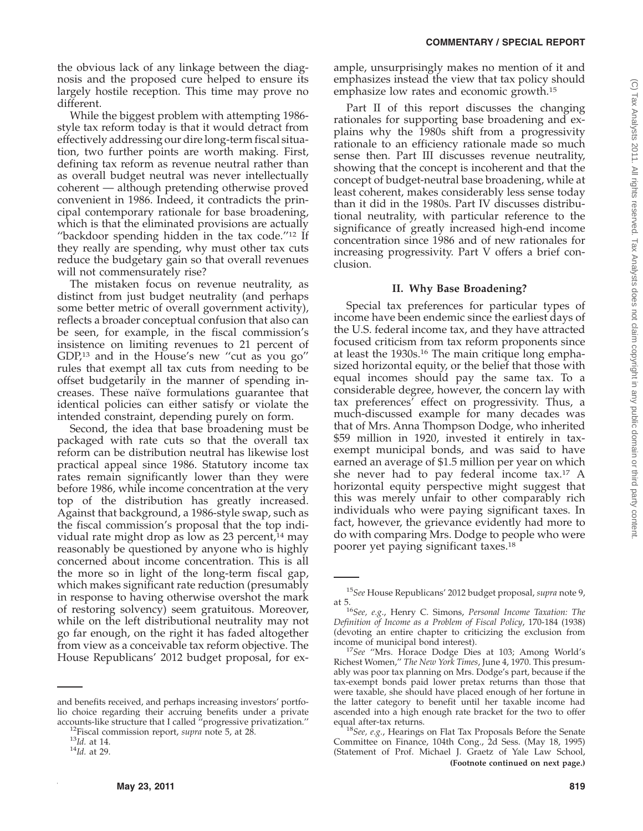the obvious lack of any linkage between the diagnosis and the proposed cure helped to ensure its largely hostile reception. This time may prove no different.

While the biggest problem with attempting 1986 style tax reform today is that it would detract from effectively addressing our dire long-term fiscal situation, two further points are worth making. First, defining tax reform as revenue neutral rather than as overall budget neutral was never intellectually coherent — although pretending otherwise proved convenient in 1986. Indeed, it contradicts the principal contemporary rationale for base broadening, which is that the eliminated provisions are actually "backdoor spending hidden in the tax code."<sup>12</sup> If they really are spending, why must other tax cuts reduce the budgetary gain so that overall revenues will not commensurately rise?

The mistaken focus on revenue neutrality, as distinct from just budget neutrality (and perhaps some better metric of overall government activity), reflects a broader conceptual confusion that also can be seen, for example, in the fiscal commission's insistence on limiting revenues to 21 percent of GDP,13 and in the House's new ''cut as you go'' rules that exempt all tax cuts from needing to be offset budgetarily in the manner of spending increases. These naïve formulations guarantee that identical policies can either satisfy or violate the intended constraint, depending purely on form.

Second, the idea that base broadening must be packaged with rate cuts so that the overall tax reform can be distribution neutral has likewise lost practical appeal since 1986. Statutory income tax rates remain significantly lower than they were before 1986, while income concentration at the very top of the distribution has greatly increased. Against that background, a 1986-style swap, such as the fiscal commission's proposal that the top individual rate might drop as low as  $23$  percent,<sup>14</sup> may reasonably be questioned by anyone who is highly concerned about income concentration. This is all the more so in light of the long-term fiscal gap, which makes significant rate reduction (presumably in response to having otherwise overshot the mark of restoring solvency) seem gratuitous. Moreover, while on the left distributional neutrality may not go far enough, on the right it has faded altogether from view as a conceivable tax reform objective. The House Republicans' 2012 budget proposal, for ex-

and benefits received, and perhaps increasing investors' portfolio choice regarding their accruing benefits under a private accounts-like structure that I called "progressive privatization."<br><sup>12</sup>Fiscal commission report, *supra* note 5, at 28. <sup>13</sup>*Id.* at 14. <sup>14</sup>*Id.* at 29.

ample, unsurprisingly makes no mention of it and emphasizes instead the view that tax policy should emphasize low rates and economic growth.15

Part II of this report discusses the changing rationales for supporting base broadening and explains why the 1980s shift from a progressivity rationale to an efficiency rationale made so much sense then. Part III discusses revenue neutrality, showing that the concept is incoherent and that the concept of budget-neutral base broadening, while at least coherent, makes considerably less sense today than it did in the 1980s. Part IV discusses distributional neutrality, with particular reference to the significance of greatly increased high-end income concentration since 1986 and of new rationales for increasing progressivity. Part V offers a brief conclusion.

# **II. Why Base Broadening?**

Special tax preferences for particular types of income have been endemic since the earliest days of the U.S. federal income tax, and they have attracted focused criticism from tax reform proponents since at least the 1930s.16 The main critique long emphasized horizontal equity, or the belief that those with equal incomes should pay the same tax. To a considerable degree, however, the concern lay with tax preferences' effect on progressivity. Thus, a much-discussed example for many decades was that of Mrs. Anna Thompson Dodge, who inherited \$59 million in 1920, invested it entirely in taxexempt municipal bonds, and was said to have earned an average of \$1.5 million per year on which she never had to pay federal income tax.17 A horizontal equity perspective might suggest that this was merely unfair to other comparably rich individuals who were paying significant taxes. In fact, however, the grievance evidently had more to do with comparing Mrs. Dodge to people who were poorer yet paying significant taxes.18

<sup>15</sup>*See* House Republicans' 2012 budget proposal, *supra* note 9,

at 5.16*See, e.g*., Henry C. Simons, *Personal Income Taxation: The Definition of Income as a Problem of Fiscal Policy*, 170-184 (1938) (devoting an entire chapter to criticizing the exclusion from

<sup>&</sup>lt;sup>17</sup>See "Mrs. Horace Dodge Dies at 103; Among World's Richest Women,'' *The New York Times*, June 4, 1970. This presumably was poor tax planning on Mrs. Dodge's part, because if the tax-exempt bonds paid lower pretax returns than those that were taxable, she should have placed enough of her fortune in the latter category to benefit until her taxable income had ascended into a high enough rate bracket for the two to offer

equal after-tax returns. <sup>18</sup>*See, e.g.*, Hearings on Flat Tax Proposals Before the Senate Committee on Finance, 104th Cong., 2d Sess. (May 18, 1995) (Statement of Prof. Michael J. Graetz of Yale Law School, **(Footnote continued on next page.)**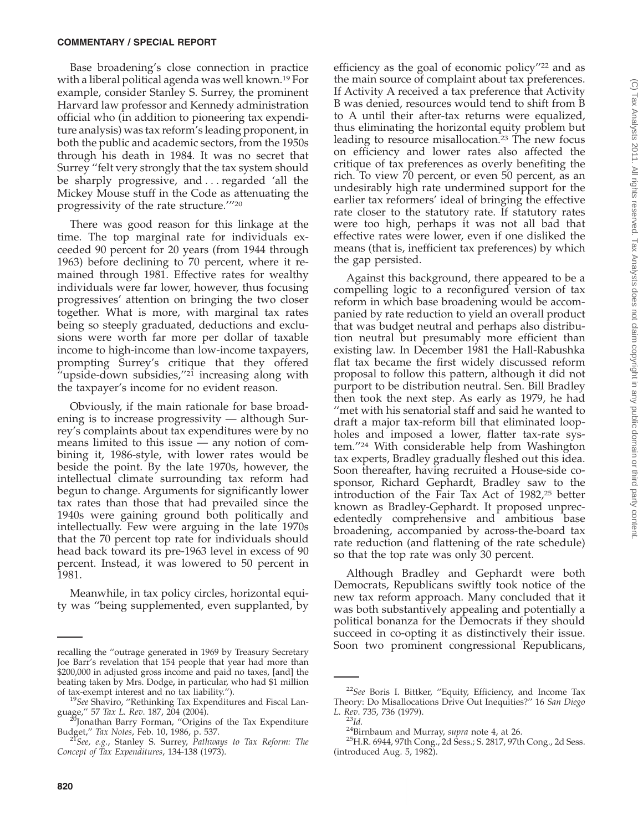Base broadening's close connection in practice with a liberal political agenda was well known.19 For example, consider Stanley S. Surrey, the prominent Harvard law professor and Kennedy administration official who (in addition to pioneering tax expenditure analysis) was tax reform's leading proponent, in both the public and academic sectors, from the 1950s through his death in 1984. It was no secret that Surrey ''felt very strongly that the tax system should be sharply progressive, and...regarded 'all the Mickey Mouse stuff in the Code as attenuating the progressivity of the rate structure.'''20

There was good reason for this linkage at the time. The top marginal rate for individuals exceeded 90 percent for 20 years (from 1944 through 1963) before declining to 70 percent, where it remained through 1981. Effective rates for wealthy individuals were far lower, however, thus focusing progressives' attention on bringing the two closer together. What is more, with marginal tax rates being so steeply graduated, deductions and exclusions were worth far more per dollar of taxable income to high-income than low-income taxpayers, prompting Surrey's critique that they offered "upside-down subsidies,"<sup>21</sup> increasing along with the taxpayer's income for no evident reason.

Obviously, if the main rationale for base broadening is to increase progressivity — although Surrey's complaints about tax expenditures were by no means limited to this issue — any notion of combining it, 1986-style, with lower rates would be beside the point. By the late 1970s, however, the intellectual climate surrounding tax reform had begun to change. Arguments for significantly lower tax rates than those that had prevailed since the 1940s were gaining ground both politically and intellectually. Few were arguing in the late 1970s that the 70 percent top rate for individuals should head back toward its pre-1963 level in excess of 90 percent. Instead, it was lowered to 50 percent in 1981.

Meanwhile, in tax policy circles, horizontal equity was ''being supplemented, even supplanted, by efficiency as the goal of economic policy''22 and as the main source of complaint about tax preferences. If Activity A received a tax preference that Activity B was denied, resources would tend to shift from B to A until their after-tax returns were equalized, thus eliminating the horizontal equity problem but leading to resource misallocation.<sup>23</sup> The new focus on efficiency and lower rates also affected the critique of tax preferences as overly benefiting the rich. To view 70 percent, or even 50 percent, as an undesirably high rate undermined support for the earlier tax reformers' ideal of bringing the effective rate closer to the statutory rate. If statutory rates were too high, perhaps it was not all bad that effective rates were lower, even if one disliked the means (that is, inefficient tax preferences) by which the gap persisted.

Against this background, there appeared to be a compelling logic to a reconfigured version of tax reform in which base broadening would be accompanied by rate reduction to yield an overall product that was budget neutral and perhaps also distribution neutral but presumably more efficient than existing law. In December 1981 the Hall-Rabushka flat tax became the first widely discussed reform proposal to follow this pattern, although it did not purport to be distribution neutral. Sen. Bill Bradley then took the next step. As early as 1979, he had ''met with his senatorial staff and said he wanted to draft a major tax-reform bill that eliminated loopholes and imposed a lower, flatter tax-rate system.''24 With considerable help from Washington tax experts, Bradley gradually fleshed out this idea. Soon thereafter, having recruited a House-side cosponsor, Richard Gephardt, Bradley saw to the introduction of the Fair Tax Act of 1982,25 better known as Bradley-Gephardt. It proposed unprecedentedly comprehensive and ambitious base broadening, accompanied by across-the-board tax rate reduction (and flattening of the rate schedule) so that the top rate was only 30 percent.

Although Bradley and Gephardt were both Democrats, Republicans swiftly took notice of the new tax reform approach. Many concluded that it was both substantively appealing and potentially a political bonanza for the Democrats if they should succeed in co-opting it as distinctively their issue. Soon two prominent congressional Republicans, recalling the ''outrage generated in 1969 by Treasury Secretary

Joe Barr's revelation that 154 people that year had more than \$200,000 in adjusted gross income and paid no taxes, [and] the beating taken by Mrs. Dodge**,** in particular, who had \$1 million

<sup>&</sup>lt;sup>19</sup>See Shaviro, "Rethinking Tax Expenditures and Fiscal Language," 57 Tax L. Rev. 187, 204 (2004).

Jonathan Barry Forman, "Origins of the Tax Expenditure Budget,'' *Tax Notes*, Feb. 10, 1986, p. 537. <sup>21</sup>*See, e.g.*, Stanley S. Surrey, *Pathways to Tax Reform: The*

*Concept of Tax Expenditures*, 134-138 (1973).

<sup>22</sup>*See* Boris I. Bittker, ''Equity, Efficiency, and Income Tax Theory: Do Misallocations Drive Out Inequities?'' 16 *San Diego*

*L. Rev*. 735, 736 (1979). <sup>23</sup>*Id.* 24Birnbaum and Murray, *supra* note 4, at 26. 25H.R. 6944, 97th Cong., 2d Sess.; S. 2817, 97th Cong., 2d Sess. (introduced Aug. 5, 1982).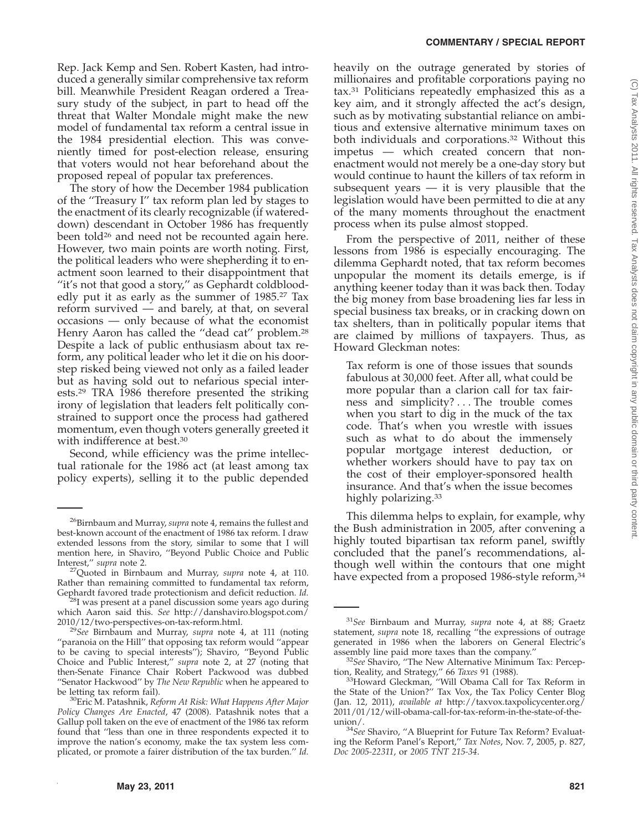# Rep. Jack Kemp and Sen. Robert Kasten, had introduced a generally similar comprehensive tax reform bill. Meanwhile President Reagan ordered a Treasury study of the subject, in part to head off the threat that Walter Mondale might make the new model of fundamental tax reform a central issue in the 1984 presidential election. This was conveniently timed for post-election release, ensuring that voters would not hear beforehand about the proposed repeal of popular tax preferences.

The story of how the December 1984 publication of the ''Treasury I'' tax reform plan led by stages to the enactment of its clearly recognizable (if watereddown) descendant in October 1986 has frequently been told<sup>26</sup> and need not be recounted again here. However, two main points are worth noting. First, the political leaders who were shepherding it to enactment soon learned to their disappointment that ''it's not that good a story,'' as Gephardt coldbloodedly put it as early as the summer of 1985.27 Tax reform survived — and barely, at that, on several occasions — only because of what the economist Henry Aaron has called the "dead cat" problem.<sup>28</sup> Despite a lack of public enthusiasm about tax reform, any political leader who let it die on his doorstep risked being viewed not only as a failed leader but as having sold out to nefarious special interests.29 TRA 1986 therefore presented the striking irony of legislation that leaders felt politically constrained to support once the process had gathered momentum, even though voters generally greeted it with indifference at best.<sup>30</sup>

Second, while efficiency was the prime intellectual rationale for the 1986 act (at least among tax policy experts), selling it to the public depended

#### **COMMENTARY / SPECIAL REPORT**

heavily on the outrage generated by stories of millionaires and profitable corporations paying no tax.31 Politicians repeatedly emphasized this as a key aim, and it strongly affected the act's design, such as by motivating substantial reliance on ambitious and extensive alternative minimum taxes on both individuals and corporations.32 Without this impetus — which created concern that nonenactment would not merely be a one-day story but would continue to haunt the killers of tax reform in subsequent years — it is very plausible that the legislation would have been permitted to die at any of the many moments throughout the enactment process when its pulse almost stopped.

From the perspective of 2011, neither of these lessons from 1986 is especially encouraging. The dilemma Gephardt noted, that tax reform becomes unpopular the moment its details emerge, is if anything keener today than it was back then. Today the big money from base broadening lies far less in special business tax breaks, or in cracking down on tax shelters, than in politically popular items that are claimed by millions of taxpayers. Thus, as Howard Gleckman notes:

Tax reform is one of those issues that sounds fabulous at 30,000 feet. After all, what could be more popular than a clarion call for tax fairness and simplicity? . . . The trouble comes when you start to dig in the muck of the tax code. That's when you wrestle with issues such as what to do about the immensely popular mortgage interest deduction, or whether workers should have to pay tax on the cost of their employer-sponsored health insurance. And that's when the issue becomes highly polarizing.<sup>33</sup>

This dilemma helps to explain, for example, why the Bush administration in 2005, after convening a highly touted bipartisan tax reform panel, swiftly concluded that the panel's recommendations, although well within the contours that one might have expected from a proposed 1986-style reform,<sup>34</sup>

<sup>26</sup>Birnbaum and Murray, *supra* note 4, remains the fullest and best-known account of the enactment of 1986 tax reform. I draw extended lessons from the story, similar to some that I will mention here, in Shaviro, "Beyond Public Choice and Public Interest," supra note 2.

<sup>&</sup>lt;sup>27</sup>Quoted in Birnbaum and Murray, *supra* note 4, at 110. Rather than remaining committed to fundamental tax reform,

Gephardt favored trade protectionism and deficit reduction. *Id.* <sup>28</sup>I was present at a panel discussion some years ago during which Aaron said this. *See* http://danshaviro.blogspot.com/<br>2010/12/two-perspectives-on-tax-reform.html.

<sup>&</sup>lt;sup>29</sup>See Birnbaum and Murray, *supra* note 4, at 111 (noting ''paranoia on the Hill'' that opposing tax reform would ''appear to be caving to special interests''); Shaviro, ''Beyond Public Choice and Public Interest,'' *supra* note 2, at 27 (noting that then-Senate Finance Chair Robert Packwood was dubbed ''Senator Hackwood'' by *The New Republic* when he appeared to

<sup>&</sup>lt;sup>30</sup>Eric M. Patashnik, *Reform At Risk: What Happens After Major Policy Changes Are Enacted*, 47 (2008). Patashnik notes that a Gallup poll taken on the eve of enactment of the 1986 tax reform found that ''less than one in three respondents expected it to improve the nation's economy, make the tax system less complicated, or promote a fairer distribution of the tax burden.'' *Id.*

<sup>31</sup>*See* Birnbaum and Murray, *supra* note 4, at 88; Graetz statement, *supra* note 18, recalling ''the expressions of outrage generated in 1986 when the laborers on General Electric's

<sup>&</sup>lt;sup>32</sup>See Shaviro, "The New Alternative Minimum Tax: Percep-

tion, Reality, and Strategy," 66 *Taxes* 91 (1988).<br><sup>33</sup>Howard Gleckman, "Will Obama Call for Tax Reform in the State of the Union?'' Tax Vox, the Tax Policy Center Blog (Jan. 12, 2011), *available at* http://taxvox.taxpolicycenter.org/ 2011/01/12/will-obama-call-for-tax-reform-in-the-state-of-the-

union/. <sup>34</sup>*See* Shaviro, ''A Blueprint for Future Tax Reform? Evaluating the Reform Panel's Report,'' *Tax Notes*, Nov. 7, 2005, p. 827, *Doc 2005-22311*, or *2005 TNT 215-34*.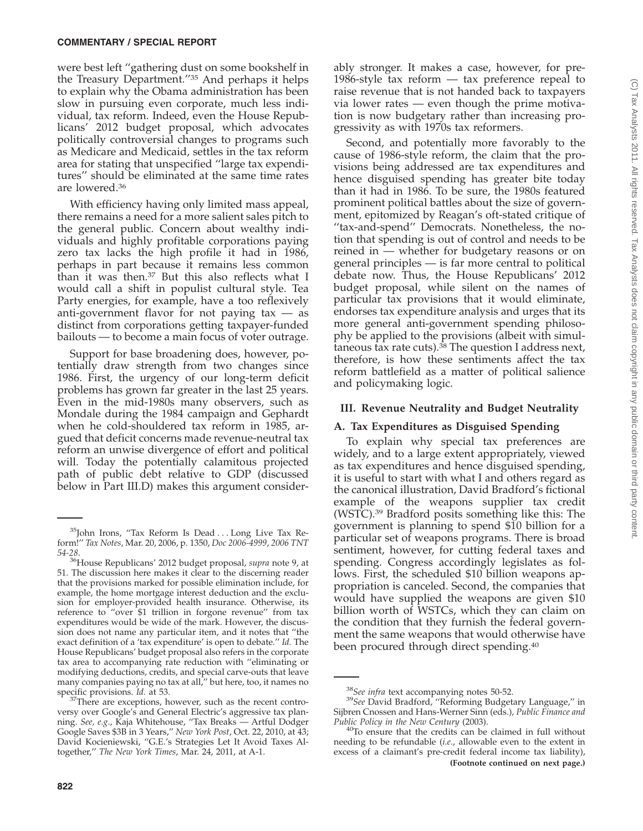were best left ''gathering dust on some bookshelf in the Treasury Department.''35 And perhaps it helps to explain why the Obama administration has been slow in pursuing even corporate, much less individual, tax reform. Indeed, even the House Republicans' 2012 budget proposal, which advocates politically controversial changes to programs such as Medicare and Medicaid, settles in the tax reform area for stating that unspecified ''large tax expenditures'' should be eliminated at the same time rates are lowered.36

With efficiency having only limited mass appeal, there remains a need for a more salient sales pitch to the general public. Concern about wealthy individuals and highly profitable corporations paying zero tax lacks the high profile it had in 1986, perhaps in part because it remains less common than it was then.<sup>37</sup> But this also reflects what I would call a shift in populist cultural style. Tea Party energies, for example, have a too reflexively anti-government flavor for not paying  $tax - as$ distinct from corporations getting taxpayer-funded bailouts — to become a main focus of voter outrage.

Support for base broadening does, however, potentially draw strength from two changes since 1986. First, the urgency of our long-term deficit problems has grown far greater in the last 25 years. Even in the mid-1980s many observers, such as Mondale during the 1984 campaign and Gephardt when he cold-shouldered tax reform in 1985, argued that deficit concerns made revenue-neutral tax reform an unwise divergence of effort and political will. Today the potentially calamitous projected path of public debt relative to GDP (discussed below in Part III.D) makes this argument consider-

ably stronger. It makes a case, however, for pre-1986-style tax reform — tax preference repeal to raise revenue that is not handed back to taxpayers via lower rates — even though the prime motivation is now budgetary rather than increasing progressivity as with 1970s tax reformers.

Second, and potentially more favorably to the cause of 1986-style reform, the claim that the provisions being addressed are tax expenditures and hence disguised spending has greater bite today than it had in 1986. To be sure, the 1980s featured prominent political battles about the size of government, epitomized by Reagan's oft-stated critique of ''tax-and-spend'' Democrats. Nonetheless, the notion that spending is out of control and needs to be reined in — whether for budgetary reasons or on general principles — is far more central to political debate now. Thus, the House Republicans' 2012 budget proposal, while silent on the names of particular tax provisions that it would eliminate, endorses tax expenditure analysis and urges that its more general anti-government spending philosophy be applied to the provisions (albeit with simultaneous tax rate cuts). $38$  The question I address next, therefore, is how these sentiments affect the tax reform battlefield as a matter of political salience and policymaking logic.

# **III. Revenue Neutrality and Budget Neutrality**

# **A. Tax Expenditures as Disguised Spending**

To explain why special tax preferences are widely, and to a large extent appropriately, viewed as tax expenditures and hence disguised spending, it is useful to start with what I and others regard as the canonical illustration, David Bradford's fictional example of the weapons supplier tax credit (WSTC).39 Bradford posits something like this: The government is planning to spend \$10 billion for a particular set of weapons programs. There is broad sentiment, however, for cutting federal taxes and spending. Congress accordingly legislates as follows. First, the scheduled \$10 billion weapons appropriation is canceled. Second, the companies that would have supplied the weapons are given \$10 billion worth of WSTCs, which they can claim on the condition that they furnish the federal government the same weapons that would otherwise have been procured through direct spending.40

<sup>&</sup>lt;sup>35</sup>John Irons, "Tax Reform Is Dead ... Long Live Tax Reform!'' *Tax Notes*, Mar. 20, 2006, p. 1350, *Doc 2006-4999*, *2006 TNT*

*<sup>54-28</sup>*. 36House Republicans' 2012 budget proposal, *supra* note 9, at 51. The discussion here makes it clear to the discerning reader that the provisions marked for possible elimination include, for example, the home mortgage interest deduction and the exclusion for employer-provided health insurance. Otherwise, its reference to ''over \$1 trillion in forgone revenue'' from tax expenditures would be wide of the mark. However, the discussion does not name any particular item, and it notes that ''the exact definition of a 'tax expenditure' is open to debate.'' *Id.* The House Republicans' budget proposal also refers in the corporate tax area to accompanying rate reduction with ''eliminating or modifying deductions, credits, and special carve-outs that leave many companies paying no tax at all," but here, too, it names no specific provisions. *Id.* at 53.

<sup>&</sup>lt;sup>37</sup>There are exceptions, however, such as the recent controversy over Google's and General Electric's aggressive tax planning. *See, e.g*., Kaja Whitehouse, ''Tax Breaks — Artful Dodger Google Saves \$3B in 3 Years,'' *New York Post*, Oct. 22, 2010, at 43; David Kocieniewski, ''G.E.'s Strategies Let It Avoid Taxes Altogether,'' *The New York Times*, Mar. 24, 2011, at A-1.

<sup>38</sup>*See infra* text accompanying notes 50-52. <sup>39</sup>*See* David Bradford, ''Reforming Budgetary Language,'' in Sijbren Cnossen and Hans-Werner Sinn (eds.), *Public Finance and*

*Public Policy in the New Century* (2003). 40To ensure that the credits can be claimed in full without needing to be refundable (*i.e*., allowable even to the extent in excess of a claimant's pre-credit federal income tax liability), **(Footnote continued on next page.)**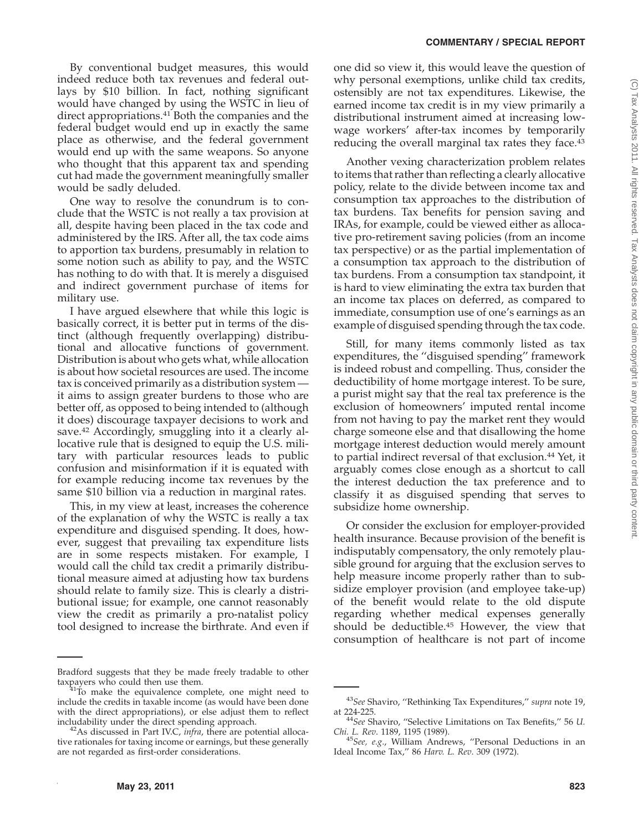By conventional budget measures, this would indeed reduce both tax revenues and federal outlays by \$10 billion. In fact, nothing significant would have changed by using the WSTC in lieu of direct appropriations.<sup>41</sup> Both the companies and the federal budget would end up in exactly the same place as otherwise, and the federal government would end up with the same weapons. So anyone who thought that this apparent tax and spending cut had made the government meaningfully smaller would be sadly deluded.

One way to resolve the conundrum is to conclude that the WSTC is not really a tax provision at all, despite having been placed in the tax code and administered by the IRS. After all, the tax code aims to apportion tax burdens, presumably in relation to some notion such as ability to pay, and the WSTC has nothing to do with that. It is merely a disguised and indirect government purchase of items for military use.

I have argued elsewhere that while this logic is basically correct, it is better put in terms of the distinct (although frequently overlapping) distributional and allocative functions of government. Distribution is about who gets what, while allocation is about how societal resources are used. The income tax is conceived primarily as a distribution system it aims to assign greater burdens to those who are better off, as opposed to being intended to (although it does) discourage taxpayer decisions to work and save.<sup>42</sup> Accordingly, smuggling into it a clearly allocative rule that is designed to equip the U.S. military with particular resources leads to public confusion and misinformation if it is equated with for example reducing income tax revenues by the same \$10 billion via a reduction in marginal rates.

This, in my view at least, increases the coherence of the explanation of why the WSTC is really a tax expenditure and disguised spending. It does, however, suggest that prevailing tax expenditure lists are in some respects mistaken. For example, I would call the child tax credit a primarily distributional measure aimed at adjusting how tax burdens should relate to family size. This is clearly a distributional issue; for example, one cannot reasonably view the credit as primarily a pro-natalist policy tool designed to increase the birthrate. And even if one did so view it, this would leave the question of why personal exemptions, unlike child tax credits, ostensibly are not tax expenditures. Likewise, the earned income tax credit is in my view primarily a distributional instrument aimed at increasing lowwage workers' after-tax incomes by temporarily reducing the overall marginal tax rates they face.<sup>43</sup>

Another vexing characterization problem relates to items that rather than reflecting a clearly allocative policy, relate to the divide between income tax and consumption tax approaches to the distribution of tax burdens. Tax benefits for pension saving and IRAs, for example, could be viewed either as allocative pro-retirement saving policies (from an income tax perspective) or as the partial implementation of a consumption tax approach to the distribution of tax burdens. From a consumption tax standpoint, it is hard to view eliminating the extra tax burden that an income tax places on deferred, as compared to immediate, consumption use of one's earnings as an example of disguised spending through the tax code.

Still, for many items commonly listed as tax expenditures, the ''disguised spending'' framework is indeed robust and compelling. Thus, consider the deductibility of home mortgage interest. To be sure, a purist might say that the real tax preference is the exclusion of homeowners' imputed rental income from not having to pay the market rent they would charge someone else and that disallowing the home mortgage interest deduction would merely amount to partial indirect reversal of that exclusion.44 Yet, it arguably comes close enough as a shortcut to call the interest deduction the tax preference and to classify it as disguised spending that serves to subsidize home ownership.

Or consider the exclusion for employer-provided health insurance. Because provision of the benefit is indisputably compensatory, the only remotely plausible ground for arguing that the exclusion serves to help measure income properly rather than to subsidize employer provision (and employee take-up) of the benefit would relate to the old dispute regarding whether medical expenses generally should be deductible.45 However, the view that consumption of healthcare is not part of income

Bradford suggests that they be made freely tradable to other taxpayers who could then use them. 41To make the equivalence complete, one might need to

include the credits in taxable income (as would have been done with the direct appropriations), or else adjust them to reflect

includability under the direct spending approach. 42As discussed in Part IV.C, *infra*, there are potential allocative rationales for taxing income or earnings, but these generally are not regarded as first-order considerations.

<sup>43</sup>*See* Shaviro, ''Rethinking Tax Expenditures,'' *supra* note 19,

<sup>&</sup>lt;sup>44</sup>See Shaviro, "Selective Limitations on Tax Benefits," 56 *U*. Chi. L. Rev. 1189, 1195 (1989).

<sup>&</sup>lt;sup>45</sup>See, e.g., William Andrews, "Personal Deductions in an Ideal Income Tax,'' 86 *Harv. L. Rev*. 309 (1972).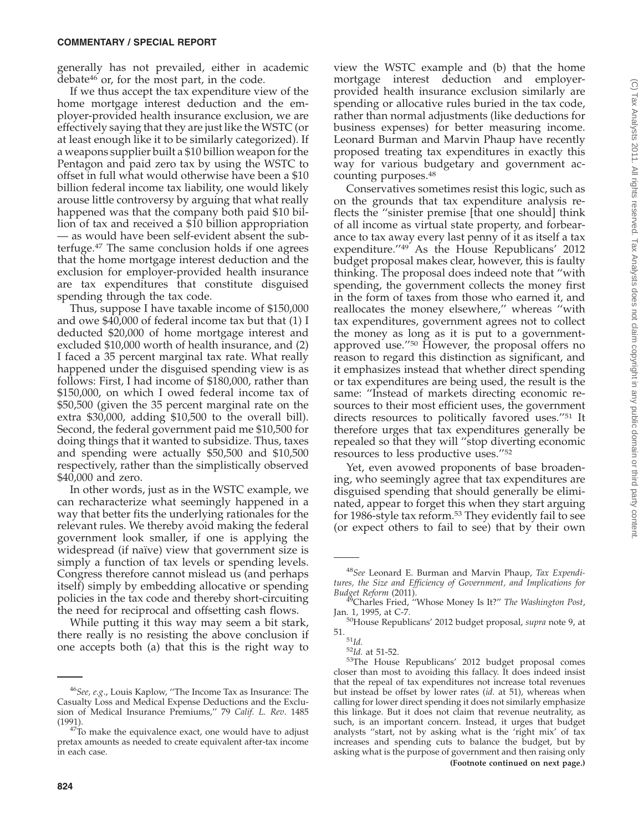generally has not prevailed, either in academic debate46 or, for the most part, in the code.

If we thus accept the tax expenditure view of the home mortgage interest deduction and the employer-provided health insurance exclusion, we are effectively saying that they are just like the WSTC (or at least enough like it to be similarly categorized). If a weapons supplier built a \$10 billion weapon for the Pentagon and paid zero tax by using the WSTC to offset in full what would otherwise have been a \$10 billion federal income tax liability, one would likely arouse little controversy by arguing that what really happened was that the company both paid \$10 billion of tax and received a \$10 billion appropriation — as would have been self-evident absent the subterfuge.47 The same conclusion holds if one agrees that the home mortgage interest deduction and the exclusion for employer-provided health insurance are tax expenditures that constitute disguised spending through the tax code.

Thus, suppose I have taxable income of \$150,000 and owe \$40,000 of federal income tax but that (1) I deducted \$20,000 of home mortgage interest and excluded \$10,000 worth of health insurance, and (2) I faced a 35 percent marginal tax rate. What really happened under the disguised spending view is as follows: First, I had income of \$180,000, rather than \$150,000, on which I owed federal income tax of \$50,500 (given the 35 percent marginal rate on the extra \$30,000, adding \$10,500 to the overall bill). Second, the federal government paid me \$10,500 for doing things that it wanted to subsidize. Thus, taxes and spending were actually \$50,500 and \$10,500 respectively, rather than the simplistically observed \$40,000 and zero.

In other words, just as in the WSTC example, we can recharacterize what seemingly happened in a way that better fits the underlying rationales for the relevant rules. We thereby avoid making the federal government look smaller, if one is applying the widespread (if naïve) view that government size is simply a function of tax levels or spending levels. Congress therefore cannot mislead us (and perhaps itself) simply by embedding allocative or spending policies in the tax code and thereby short-circuiting the need for reciprocal and offsetting cash flows.

While putting it this way may seem a bit stark, there really is no resisting the above conclusion if one accepts both (a) that this is the right way to

view the WSTC example and (b) that the home mortgage interest deduction and employerprovided health insurance exclusion similarly are spending or allocative rules buried in the tax code, rather than normal adjustments (like deductions for business expenses) for better measuring income. Leonard Burman and Marvin Phaup have recently proposed treating tax expenditures in exactly this way for various budgetary and government accounting purposes.48

Conservatives sometimes resist this logic, such as on the grounds that tax expenditure analysis reflects the ''sinister premise [that one should] think of all income as virtual state property, and forbearance to tax away every last penny of it as itself a tax expenditure.<sup>"49</sup> As the House Republicans' 2012 budget proposal makes clear, however, this is faulty thinking. The proposal does indeed note that ''with spending, the government collects the money first in the form of taxes from those who earned it, and reallocates the money elsewhere,'' whereas ''with tax expenditures, government agrees not to collect the money as long as it is put to a governmentapproved use.''50 However, the proposal offers no reason to regard this distinction as significant, and it emphasizes instead that whether direct spending or tax expenditures are being used, the result is the same: ''Instead of markets directing economic resources to their most efficient uses, the government directs resources to politically favored uses.''51 It therefore urges that tax expenditures generally be repealed so that they will ''stop diverting economic resources to less productive uses.''52

Yet, even avowed proponents of base broadening, who seemingly agree that tax expenditures are disguised spending that should generally be eliminated, appear to forget this when they start arguing for 1986-style tax reform.<sup>53</sup> They evidently fail to see (or expect others to fail to see) that by their own

<sup>46</sup>*See, e.g*., Louis Kaplow, ''The Income Tax as Insurance: The Casualty Loss and Medical Expense Deductions and the Exclusion of Medical Insurance Premiums,'' 79 *Calif. L. Rev*. 1485

<sup>(1991).</sup>  $47^2$ To make the equivalence exact, one would have to adjust pretax amounts as needed to create equivalent after-tax income in each case.

<sup>48</sup>*See* Leonard E. Burman and Marvin Phaup, *Tax Expenditures, the Size and Efficiency of Government, and Implications for*

*Budget Reform* (2011).<br><sup>49</sup>Charles Fried, "Whose Money Is It?" *The Washington Post*, Jan. 1, 1995, at C-7.

<sup>&</sup>lt;sup>50</sup>House Republicans' 2012 budget proposal, *supra* note 9, at 51.

<sup>51.</sup> <sup>51</sup>*Id.* <sup>52</sup>*Id.* at 51-52. 53The House Republicans' 2012 budget proposal comes closer than most to avoiding this fallacy. It does indeed insist that the repeal of tax expenditures not increase total revenues but instead be offset by lower rates (*id.* at 51), whereas when calling for lower direct spending it does not similarly emphasize this linkage. But it does not claim that revenue neutrality, as such, is an important concern. Instead, it urges that budget analysts ''start, not by asking what is the 'right mix' of tax increases and spending cuts to balance the budget, but by asking what is the purpose of government and then raising only **(Footnote continued on next page.)**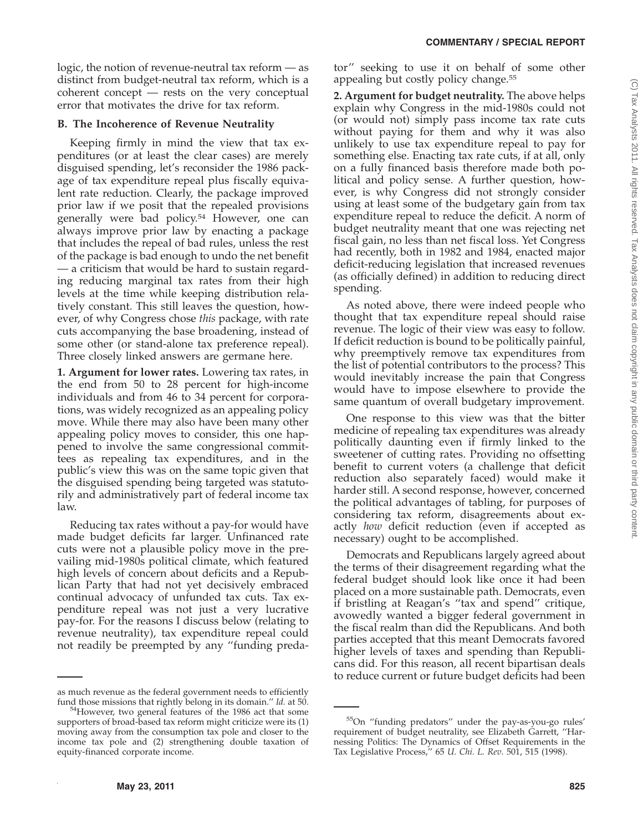logic, the notion of revenue-neutral tax reform — as distinct from budget-neutral tax reform, which is a coherent concept — rests on the very conceptual error that motivates the drive for tax reform.

# **B. The Incoherence of Revenue Neutrality**

Keeping firmly in mind the view that tax expenditures (or at least the clear cases) are merely disguised spending, let's reconsider the 1986 package of tax expenditure repeal plus fiscally equivalent rate reduction. Clearly, the package improved prior law if we posit that the repealed provisions generally were bad policy.<sup>54</sup> However, one can always improve prior law by enacting a package that includes the repeal of bad rules, unless the rest of the package is bad enough to undo the net benefit — a criticism that would be hard to sustain regarding reducing marginal tax rates from their high levels at the time while keeping distribution relatively constant. This still leaves the question, however, of why Congress chose *this* package, with rate cuts accompanying the base broadening, instead of some other (or stand-alone tax preference repeal). Three closely linked answers are germane here.

**1. Argument for lower rates.** Lowering tax rates, in the end from 50 to 28 percent for high-income individuals and from 46 to 34 percent for corporations, was widely recognized as an appealing policy move. While there may also have been many other appealing policy moves to consider, this one happened to involve the same congressional committees as repealing tax expenditures, and in the public's view this was on the same topic given that the disguised spending being targeted was statutorily and administratively part of federal income tax law.

Reducing tax rates without a pay-for would have made budget deficits far larger. Unfinanced rate cuts were not a plausible policy move in the prevailing mid-1980s political climate, which featured high levels of concern about deficits and a Republican Party that had not yet decisively embraced continual advocacy of unfunded tax cuts. Tax expenditure repeal was not just a very lucrative pay-for. For the reasons I discuss below (relating to revenue neutrality), tax expenditure repeal could not readily be preempted by any ''funding predator'' seeking to use it on behalf of some other appealing but costly policy change.55

**2. Argument for budget neutrality.** The above helps explain why Congress in the mid-1980s could not (or would not) simply pass income tax rate cuts without paying for them and why it was also unlikely to use tax expenditure repeal to pay for something else. Enacting tax rate cuts, if at all, only on a fully financed basis therefore made both political and policy sense. A further question, however, is why Congress did not strongly consider using at least some of the budgetary gain from tax expenditure repeal to reduce the deficit. A norm of budget neutrality meant that one was rejecting net fiscal gain, no less than net fiscal loss. Yet Congress had recently, both in 1982 and 1984, enacted major deficit-reducing legislation that increased revenues (as officially defined) in addition to reducing direct spending.

As noted above, there were indeed people who thought that tax expenditure repeal should raise revenue. The logic of their view was easy to follow. If deficit reduction is bound to be politically painful, why preemptively remove tax expenditures from the list of potential contributors to the process? This would inevitably increase the pain that Congress would have to impose elsewhere to provide the same quantum of overall budgetary improvement.

One response to this view was that the bitter medicine of repealing tax expenditures was already politically daunting even if firmly linked to the sweetener of cutting rates. Providing no offsetting benefit to current voters (a challenge that deficit reduction also separately faced) would make it harder still. A second response, however, concerned the political advantages of tabling, for purposes of considering tax reform, disagreements about exactly *how* deficit reduction (even if accepted as necessary) ought to be accomplished.

Democrats and Republicans largely agreed about the terms of their disagreement regarding what the federal budget should look like once it had been placed on a more sustainable path. Democrats, even if bristling at Reagan's ''tax and spend'' critique, avowedly wanted a bigger federal government in the fiscal realm than did the Republicans. And both parties accepted that this meant Democrats favored higher levels of taxes and spending than Republicans did. For this reason, all recent bipartisan deals to reduce current or future budget deficits had been

as much revenue as the federal government needs to efficiently fund those missions that rightly belong in its domain." Id. at 50.

<sup>&</sup>lt;sup>54</sup>However, two general features of the 1986 act that some supporters of broad-based tax reform might criticize were its (1) moving away from the consumption tax pole and closer to the income tax pole and (2) strengthening double taxation of equity-financed corporate income.

<sup>55</sup>On ''funding predators'' under the pay-as-you-go rules' requirement of budget neutrality, see Elizabeth Garrett, ''Harnessing Politics: The Dynamics of Offset Requirements in the Tax Legislative Process,'' 65 *U. Chi. L. Rev*. 501, 515 (1998).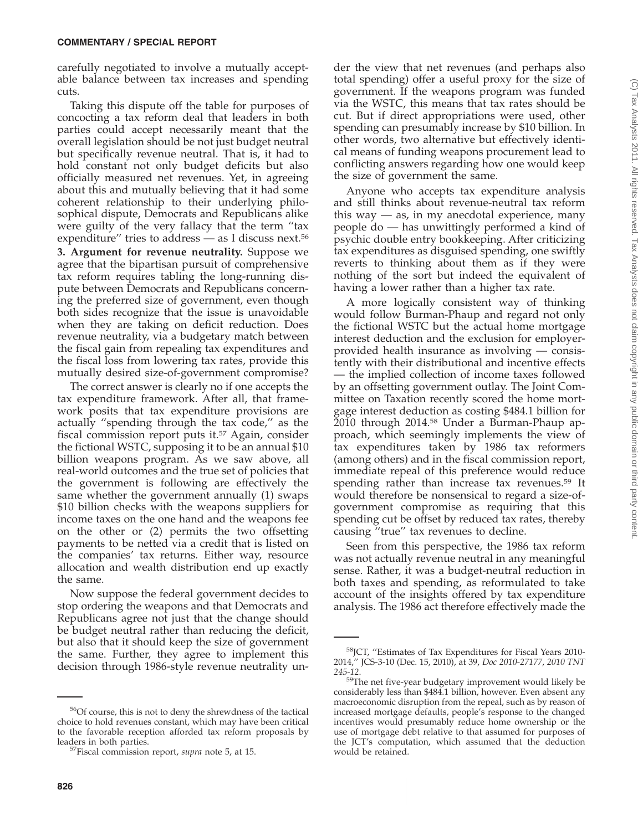carefully negotiated to involve a mutually acceptable balance between tax increases and spending cuts.

Taking this dispute off the table for purposes of concocting a tax reform deal that leaders in both parties could accept necessarily meant that the overall legislation should be not just budget neutral but specifically revenue neutral. That is, it had to hold constant not only budget deficits but also officially measured net revenues. Yet, in agreeing about this and mutually believing that it had some coherent relationship to their underlying philosophical dispute, Democrats and Republicans alike were guilty of the very fallacy that the term ''tax expenditure" tries to address  $-$  as I discuss next.<sup>56</sup>

**3. Argument for revenue neutrality.** Suppose we agree that the bipartisan pursuit of comprehensive tax reform requires tabling the long-running dispute between Democrats and Republicans concerning the preferred size of government, even though both sides recognize that the issue is unavoidable when they are taking on deficit reduction. Does revenue neutrality, via a budgetary match between the fiscal gain from repealing tax expenditures and the fiscal loss from lowering tax rates, provide this mutually desired size-of-government compromise?

The correct answer is clearly no if one accepts the tax expenditure framework. After all, that framework posits that tax expenditure provisions are actually ''spending through the tax code,'' as the fiscal commission report puts it.<sup>57</sup> Again, consider the fictional WSTC, supposing it to be an annual \$10 billion weapons program. As we saw above, all real-world outcomes and the true set of policies that the government is following are effectively the same whether the government annually (1) swaps \$10 billion checks with the weapons suppliers for income taxes on the one hand and the weapons fee on the other or (2) permits the two offsetting payments to be netted via a credit that is listed on the companies' tax returns. Either way, resource allocation and wealth distribution end up exactly the same.

Now suppose the federal government decides to stop ordering the weapons and that Democrats and Republicans agree not just that the change should be budget neutral rather than reducing the deficit, but also that it should keep the size of government the same. Further, they agree to implement this decision through 1986-style revenue neutrality un-

der the view that net revenues (and perhaps also total spending) offer a useful proxy for the size of government. If the weapons program was funded via the WSTC, this means that tax rates should be cut. But if direct appropriations were used, other spending can presumably increase by \$10 billion. In other words, two alternative but effectively identical means of funding weapons procurement lead to conflicting answers regarding how one would keep the size of government the same.

Anyone who accepts tax expenditure analysis and still thinks about revenue-neutral tax reform this way — as, in my anecdotal experience, many people do — has unwittingly performed a kind of psychic double entry bookkeeping. After criticizing tax expenditures as disguised spending, one swiftly reverts to thinking about them as if they were nothing of the sort but indeed the equivalent of having a lower rather than a higher tax rate.

A more logically consistent way of thinking would follow Burman-Phaup and regard not only the fictional WSTC but the actual home mortgage interest deduction and the exclusion for employerprovided health insurance as involving — consistently with their distributional and incentive effects — the implied collection of income taxes followed by an offsetting government outlay. The Joint Committee on Taxation recently scored the home mortgage interest deduction as costing \$484.1 billion for 2010 through 2014.58 Under a Burman-Phaup approach, which seemingly implements the view of tax expenditures taken by 1986 tax reformers (among others) and in the fiscal commission report, immediate repeal of this preference would reduce spending rather than increase tax revenues.<sup>59</sup> It would therefore be nonsensical to regard a size-ofgovernment compromise as requiring that this spending cut be offset by reduced tax rates, thereby causing ''true'' tax revenues to decline.

Seen from this perspective, the 1986 tax reform was not actually revenue neutral in any meaningful sense. Rather, it was a budget-neutral reduction in both taxes and spending, as reformulated to take account of the insights offered by tax expenditure analysis. The 1986 act therefore effectively made the

<sup>56</sup>Of course, this is not to deny the shrewdness of the tactical choice to hold revenues constant, which may have been critical to the favorable reception afforded tax reform proposals by

leaders in both parties. 57Fiscal commission report, *supra* note 5, at 15.

<sup>58</sup>JCT, ''Estimates of Tax Expenditures for Fiscal Years 2010- 2014,'' JCS-3-10 (Dec. 15, 2010), at 39, *Doc 2010-27177*, *2010 TNT*

*<sup>245-12</sup>*. 59The net five-year budgetary improvement would likely be considerably less than \$484.1 billion, however. Even absent any macroeconomic disruption from the repeal, such as by reason of increased mortgage defaults, people's response to the changed incentives would presumably reduce home ownership or the use of mortgage debt relative to that assumed for purposes of the JCT's computation, which assumed that the deduction would be retained.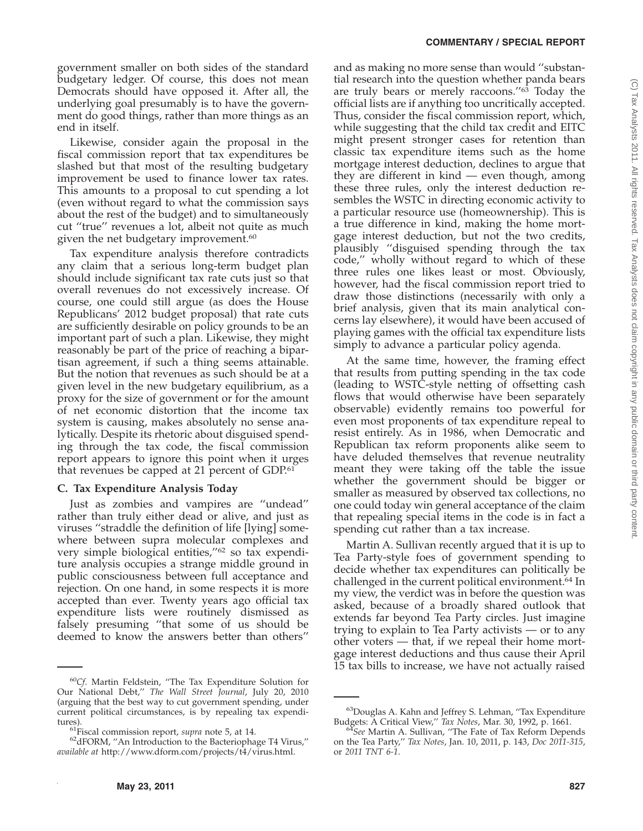government smaller on both sides of the standard budgetary ledger. Of course, this does not mean Democrats should have opposed it. After all, the underlying goal presumably is to have the government do good things, rather than more things as an end in itself.

Likewise, consider again the proposal in the fiscal commission report that tax expenditures be slashed but that most of the resulting budgetary improvement be used to finance lower tax rates. This amounts to a proposal to cut spending a lot (even without regard to what the commission says about the rest of the budget) and to simultaneously cut ''true'' revenues a lot, albeit not quite as much given the net budgetary improvement.<sup>60</sup>

Tax expenditure analysis therefore contradicts any claim that a serious long-term budget plan should include significant tax rate cuts just so that overall revenues do not excessively increase. Of course, one could still argue (as does the House Republicans' 2012 budget proposal) that rate cuts are sufficiently desirable on policy grounds to be an important part of such a plan. Likewise, they might reasonably be part of the price of reaching a bipartisan agreement, if such a thing seems attainable. But the notion that revenues as such should be at a given level in the new budgetary equilibrium, as a proxy for the size of government or for the amount of net economic distortion that the income tax system is causing, makes absolutely no sense analytically. Despite its rhetoric about disguised spending through the tax code, the fiscal commission report appears to ignore this point when it urges that revenues be capped at 21 percent of GDP.<sup>61</sup>

# **C. Tax Expenditure Analysis Today**

Just as zombies and vampires are ''undead'' rather than truly either dead or alive, and just as viruses ''straddle the definition of life [lying] somewhere between supra molecular complexes and very simple biological entities,"<sup>62</sup> so tax expenditure analysis occupies a strange middle ground in public consciousness between full acceptance and rejection. On one hand, in some respects it is more accepted than ever. Twenty years ago official tax expenditure lists were routinely dismissed as falsely presuming ''that some of us should be deemed to know the answers better than others''

and as making no more sense than would ''substantial research into the question whether panda bears are truly bears or merely raccoons."<sup>63</sup> Today the official lists are if anything too uncritically accepted. Thus, consider the fiscal commission report, which, while suggesting that the child tax credit and EITC might present stronger cases for retention than classic tax expenditure items such as the home mortgage interest deduction, declines to argue that they are different in kind — even though, among these three rules, only the interest deduction resembles the WSTC in directing economic activity to a particular resource use (homeownership). This is a true difference in kind, making the home mortgage interest deduction, but not the two credits, plausibly ''disguised spending through the tax code,'' wholly without regard to which of these three rules one likes least or most. Obviously, however, had the fiscal commission report tried to draw those distinctions (necessarily with only a brief analysis, given that its main analytical concerns lay elsewhere), it would have been accused of playing games with the official tax expenditure lists simply to advance a particular policy agenda.

At the same time, however, the framing effect that results from putting spending in the tax code (leading to WSTC-style netting of offsetting cash flows that would otherwise have been separately observable) evidently remains too powerful for even most proponents of tax expenditure repeal to resist entirely. As in 1986, when Democratic and Republican tax reform proponents alike seem to have deluded themselves that revenue neutrality meant they were taking off the table the issue whether the government should be bigger or smaller as measured by observed tax collections, no one could today win general acceptance of the claim that repealing special items in the code is in fact a spending cut rather than a tax increase.

Martin A. Sullivan recently argued that it is up to Tea Party-style foes of government spending to decide whether tax expenditures can politically be challenged in the current political environment.64 In my view, the verdict was in before the question was asked, because of a broadly shared outlook that extends far beyond Tea Party circles. Just imagine trying to explain to Tea Party activists — or to any other voters — that, if we repeal their home mortgage interest deductions and thus cause their April 15 tax bills to increase, we have not actually raised

<sup>60</sup>*Cf*. Martin Feldstein, ''The Tax Expenditure Solution for Our National Debt,'' *The Wall Street Journal*, July 20, 2010 (arguing that the best way to cut government spending, under current political circumstances, is by repealing tax expendi-

tures).<br><sup>61</sup>Fiscal commission report, *supra* note 5, at 14.<br><sup>62</sup>dFORM, "An Introduction to the Bacteriophage T4 Virus," *available at* http://www.dform.com/projects/t4/virus.html.

<sup>&</sup>lt;sup>63</sup>Douglas A. Kahn and Jeffrey S. Lehman, "Tax Expenditure Budgets: A Critical View," Tax Notes, Mar. 30, 1992, p. 1661.

Budgets: A Critical View,'' *Tax Notes*, Mar. 30, 1992, p. 1661. <sup>64</sup>*See* Martin A. Sullivan, ''The Fate of Tax Reform Depends on the Tea Party,'' *Tax Notes*, Jan. 10, 2011, p. 143, *Doc 2011-315*, or *2011 TNT 6-1*.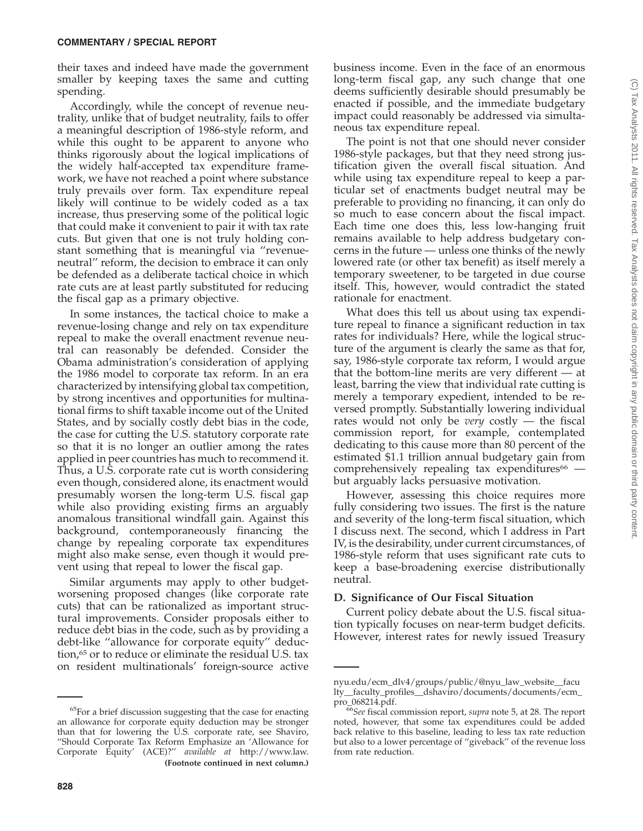their taxes and indeed have made the government smaller by keeping taxes the same and cutting spending.

Accordingly, while the concept of revenue neutrality, unlike that of budget neutrality, fails to offer a meaningful description of 1986-style reform, and while this ought to be apparent to anyone who thinks rigorously about the logical implications of the widely half-accepted tax expenditure framework, we have not reached a point where substance truly prevails over form. Tax expenditure repeal likely will continue to be widely coded as a tax increase, thus preserving some of the political logic that could make it convenient to pair it with tax rate cuts. But given that one is not truly holding constant something that is meaningful via ''revenueneutral'' reform, the decision to embrace it can only be defended as a deliberate tactical choice in which rate cuts are at least partly substituted for reducing the fiscal gap as a primary objective.

In some instances, the tactical choice to make a revenue-losing change and rely on tax expenditure repeal to make the overall enactment revenue neutral can reasonably be defended. Consider the Obama administration's consideration of applying the 1986 model to corporate tax reform. In an era characterized by intensifying global tax competition, by strong incentives and opportunities for multinational firms to shift taxable income out of the United States, and by socially costly debt bias in the code, the case for cutting the U.S. statutory corporate rate so that it is no longer an outlier among the rates applied in peer countries has much to recommend it. Thus, a U.S. corporate rate cut is worth considering even though, considered alone, its enactment would presumably worsen the long-term U.S. fiscal gap while also providing existing firms an arguably anomalous transitional windfall gain. Against this background, contemporaneously financing the change by repealing corporate tax expenditures might also make sense, even though it would prevent using that repeal to lower the fiscal gap.

Similar arguments may apply to other budgetworsening proposed changes (like corporate rate cuts) that can be rationalized as important structural improvements. Consider proposals either to reduce debt bias in the code, such as by providing a debt-like ''allowance for corporate equity'' deduction,<sup>65</sup> or to reduce or eliminate the residual U.S. tax on resident multinationals' foreign-source active

business income. Even in the face of an enormous long-term fiscal gap, any such change that one deems sufficiently desirable should presumably be enacted if possible, and the immediate budgetary impact could reasonably be addressed via simultaneous tax expenditure repeal.

The point is not that one should never consider 1986-style packages, but that they need strong justification given the overall fiscal situation. And while using tax expenditure repeal to keep a particular set of enactments budget neutral may be preferable to providing no financing, it can only do so much to ease concern about the fiscal impact. Each time one does this, less low-hanging fruit remains available to help address budgetary concerns in the future — unless one thinks of the newly lowered rate (or other tax benefit) as itself merely a temporary sweetener, to be targeted in due course itself. This, however, would contradict the stated rationale for enactment.

What does this tell us about using tax expenditure repeal to finance a significant reduction in tax rates for individuals? Here, while the logical structure of the argument is clearly the same as that for, say, 1986-style corporate tax reform, I would argue that the bottom-line merits are very different — at least, barring the view that individual rate cutting is merely a temporary expedient, intended to be reversed promptly. Substantially lowering individual rates would not only be *very* costly — the fiscal commission report, for example, contemplated dedicating to this cause more than 80 percent of the estimated \$1.1 trillion annual budgetary gain from comprehensively repealing tax expenditures $66$  but arguably lacks persuasive motivation.

However, assessing this choice requires more fully considering two issues. The first is the nature and severity of the long-term fiscal situation, which I discuss next. The second, which I address in Part IV, is the desirability, under current circumstances, of 1986-style reform that uses significant rate cuts to keep a base-broadening exercise distributionally neutral.

# **D. Significance of Our Fiscal Situation**

Current policy debate about the U.S. fiscal situation typically focuses on near-term budget deficits. However, interest rates for newly issued Treasury

<sup>65</sup>For a brief discussion suggesting that the case for enacting an allowance for corporate equity deduction may be stronger than that for lowering the U.S. corporate rate, see Shaviro, ''Should Corporate Tax Reform Emphasize an 'Allowance for Corporate Equity' (ACE)?'' *available at* http://www.law. **(Footnote continued in next column.)**

nyu.edu/ecm\_dlv4/groups/public/@nyu\_law\_website\_\_facu lty\_\_faculty\_profiles\_\_dshaviro/documents/documents/ecm\_ pro\_068214.pdf. <sup>66</sup>*See* fiscal commission report, *supra* note 5, at 28. The report

noted, however, that some tax expenditures could be added back relative to this baseline, leading to less tax rate reduction but also to a lower percentage of ''giveback'' of the revenue loss from rate reduction.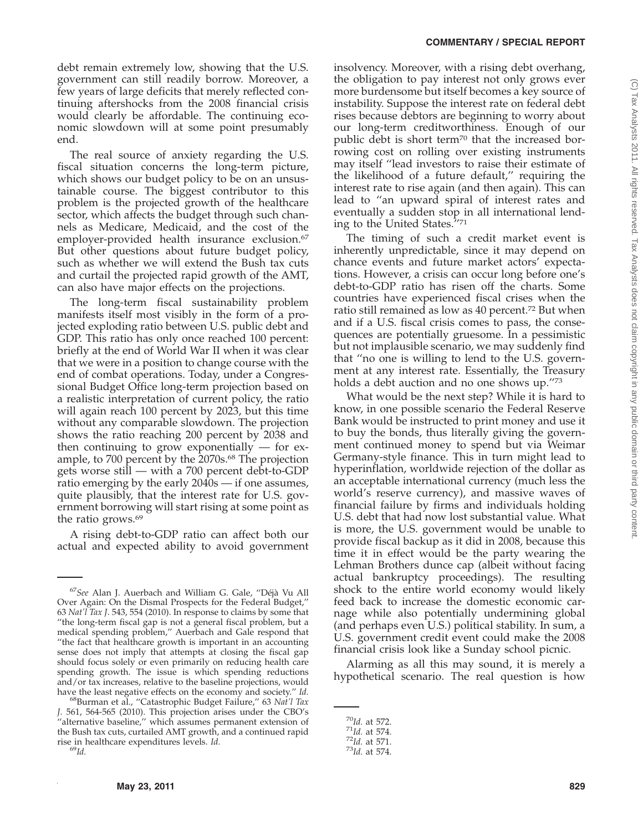debt remain extremely low, showing that the U.S. government can still readily borrow. Moreover, a few years of large deficits that merely reflected continuing aftershocks from the 2008 financial crisis would clearly be affordable. The continuing economic slowdown will at some point presumably end.

The real source of anxiety regarding the U.S. fiscal situation concerns the long-term picture, which shows our budget policy to be on an unsustainable course. The biggest contributor to this problem is the projected growth of the healthcare sector, which affects the budget through such channels as Medicare, Medicaid, and the cost of the employer-provided health insurance exclusion.<sup>67</sup> But other questions about future budget policy, such as whether we will extend the Bush tax cuts and curtail the projected rapid growth of the AMT, can also have major effects on the projections.

The long-term fiscal sustainability problem manifests itself most visibly in the form of a projected exploding ratio between U.S. public debt and GDP. This ratio has only once reached 100 percent: briefly at the end of World War II when it was clear that we were in a position to change course with the end of combat operations. Today, under a Congressional Budget Office long-term projection based on a realistic interpretation of current policy, the ratio will again reach 100 percent by 2023, but this time without any comparable slowdown. The projection shows the ratio reaching 200 percent by 2038 and then continuing to grow exponentially — for example, to 700 percent by the 2070s.<sup>68</sup> The projection gets worse still — with a 700 percent debt-to-GDP ratio emerging by the early 2040s — if one assumes, quite plausibly, that the interest rate for U.S. government borrowing will start rising at some point as the ratio grows.69

A rising debt-to-GDP ratio can affect both our actual and expected ability to avoid government insolvency. Moreover, with a rising debt overhang, the obligation to pay interest not only grows ever more burdensome but itself becomes a key source of instability. Suppose the interest rate on federal debt rises because debtors are beginning to worry about our long-term creditworthiness. Enough of our public debt is short term<sup>70</sup> that the increased borrowing cost on rolling over existing instruments may itself ''lead investors to raise their estimate of the likelihood of a future default,'' requiring the interest rate to rise again (and then again). This can lead to ''an upward spiral of interest rates and eventually a sudden stop in all international lending to the United States.''71

The timing of such a credit market event is inherently unpredictable, since it may depend on chance events and future market actors' expectations. However, a crisis can occur long before one's debt-to-GDP ratio has risen off the charts. Some countries have experienced fiscal crises when the ratio still remained as low as 40 percent.72 But when and if a U.S. fiscal crisis comes to pass, the consequences are potentially gruesome. In a pessimistic but not implausible scenario, we may suddenly find that ''no one is willing to lend to the U.S. government at any interest rate. Essentially, the Treasury holds a debt auction and no one shows up.''73

What would be the next step? While it is hard to know, in one possible scenario the Federal Reserve Bank would be instructed to print money and use it to buy the bonds, thus literally giving the government continued money to spend but via Weimar Germany-style finance. This in turn might lead to hyperinflation, worldwide rejection of the dollar as an acceptable international currency (much less the world's reserve currency), and massive waves of financial failure by firms and individuals holding U.S. debt that had now lost substantial value. What is more, the U.S. government would be unable to provide fiscal backup as it did in 2008, because this time it in effect would be the party wearing the Lehman Brothers dunce cap (albeit without facing actual bankruptcy proceedings). The resulting shock to the entire world economy would likely feed back to increase the domestic economic carnage while also potentially undermining global (and perhaps even U.S.) political stability. In sum, a U.S. government credit event could make the 2008 financial crisis look like a Sunday school picnic.

Alarming as all this may sound, it is merely a hypothetical scenario. The real question is how

<sup>67</sup>*See* Alan J. Auerbach and William G. Gale, ''Déjà Vu All Over Again: On the Dismal Prospects for the Federal Budget,'' 63 *Nat'l Tax J*. 543, 554 (2010). In response to claims by some that ''the long-term fiscal gap is not a general fiscal problem, but a medical spending problem,'' Auerbach and Gale respond that ''the fact that healthcare growth is important in an accounting sense does not imply that attempts at closing the fiscal gap should focus solely or even primarily on reducing health care spending growth. The issue is which spending reductions and/or tax increases, relative to the baseline projections, would have the least negative effects on the economy and society."  $Id$ .

have the least negative effects on the economy and society.'' *Id.* 68Burman et al., ''Catastrophic Budget Failure,'' 63 *Nat'l Tax J*. 561, 564-565 (2010). This projection arises under the CBO's "alternative baseline," which assumes permanent extension of the Bush tax cuts, curtailed AMT growth, and a continued rapid rise in healthcare expenditures levels. *Id.* <sup>69</sup>*Id.*

<sup>70</sup>*Id.* at 572. <sup>71</sup>*Id.* at 574. <sup>72</sup>*Id.* at 571. <sup>73</sup>*Id.* at 574.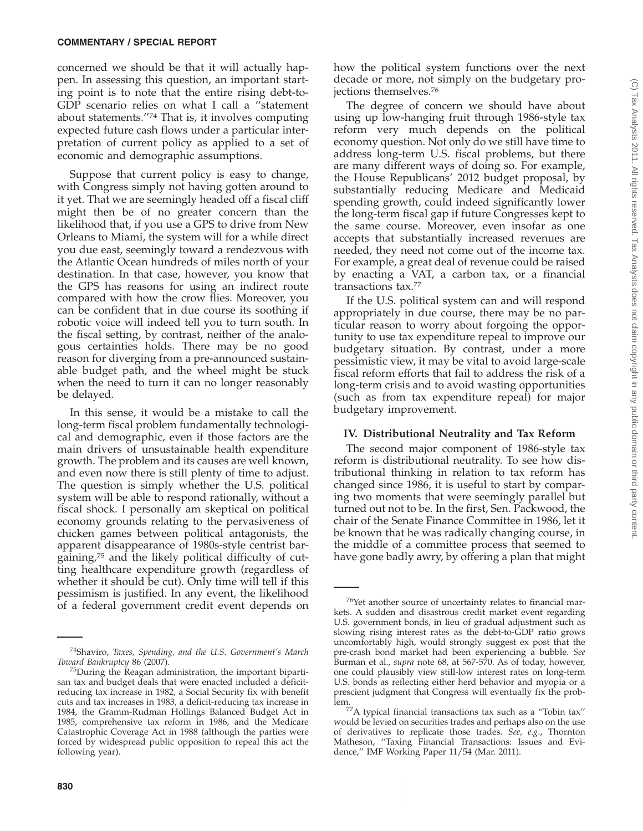concerned we should be that it will actually happen. In assessing this question, an important starting point is to note that the entire rising debt-to-GDP scenario relies on what I call a ''statement about statements.''74 That is, it involves computing expected future cash flows under a particular interpretation of current policy as applied to a set of economic and demographic assumptions.

Suppose that current policy is easy to change, with Congress simply not having gotten around to it yet. That we are seemingly headed off a fiscal cliff might then be of no greater concern than the likelihood that, if you use a GPS to drive from New Orleans to Miami, the system will for a while direct you due east, seemingly toward a rendezvous with the Atlantic Ocean hundreds of miles north of your destination. In that case, however, you know that the GPS has reasons for using an indirect route compared with how the crow flies. Moreover, you can be confident that in due course its soothing if robotic voice will indeed tell you to turn south. In the fiscal setting, by contrast, neither of the analogous certainties holds. There may be no good reason for diverging from a pre-announced sustainable budget path, and the wheel might be stuck when the need to turn it can no longer reasonably be delayed.

In this sense, it would be a mistake to call the long-term fiscal problem fundamentally technological and demographic, even if those factors are the main drivers of unsustainable health expenditure growth. The problem and its causes are well known, and even now there is still plenty of time to adjust. The question is simply whether the U.S. political system will be able to respond rationally, without a fiscal shock. I personally am skeptical on political economy grounds relating to the pervasiveness of chicken games between political antagonists, the apparent disappearance of 1980s-style centrist bargaining,75 and the likely political difficulty of cutting healthcare expenditure growth (regardless of whether it should be cut). Only time will tell if this pessimism is justified. In any event, the likelihood of a federal government credit event depends on

how the political system functions over the next decade or more, not simply on the budgetary projections themselves.76

The degree of concern we should have about using up low-hanging fruit through 1986-style tax reform very much depends on the political economy question. Not only do we still have time to address long-term U.S. fiscal problems, but there are many different ways of doing so. For example, the House Republicans' 2012 budget proposal, by substantially reducing Medicare and Medicaid spending growth, could indeed significantly lower the long-term fiscal gap if future Congresses kept to the same course. Moreover, even insofar as one accepts that substantially increased revenues are needed, they need not come out of the income tax. For example, a great deal of revenue could be raised by enacting a VAT, a carbon tax, or a financial transactions tax.77

If the U.S. political system can and will respond appropriately in due course, there may be no particular reason to worry about forgoing the opportunity to use tax expenditure repeal to improve our budgetary situation. By contrast, under a more pessimistic view, it may be vital to avoid large-scale fiscal reform efforts that fail to address the risk of a long-term crisis and to avoid wasting opportunities (such as from tax expenditure repeal) for major budgetary improvement.

# **IV. Distributional Neutrality and Tax Reform**

The second major component of 1986-style tax reform is distributional neutrality. To see how distributional thinking in relation to tax reform has changed since 1986, it is useful to start by comparing two moments that were seemingly parallel but turned out not to be. In the first, Sen. Packwood, the chair of the Senate Finance Committee in 1986, let it be known that he was radically changing course, in the middle of a committee process that seemed to have gone badly awry, by offering a plan that might

<sup>74</sup>Shaviro, *Taxes, Spending, and the U.S. Government's March*

<sup>&</sup>lt;sup>75</sup>During the Reagan administration, the important bipartisan tax and budget deals that were enacted included a deficitreducing tax increase in 1982, a Social Security fix with benefit cuts and tax increases in 1983, a deficit-reducing tax increase in 1984, the Gramm-Rudman Hollings Balanced Budget Act in 1985, comprehensive tax reform in 1986, and the Medicare Catastrophic Coverage Act in 1988 (although the parties were forced by widespread public opposition to repeal this act the following year).

<sup>76</sup>Yet another source of uncertainty relates to financial markets. A sudden and disastrous credit market event regarding U.S. government bonds, in lieu of gradual adjustment such as slowing rising interest rates as the debt-to-GDP ratio grows uncomfortably high, would strongly suggest ex post that the pre-crash bond market had been experiencing a bubble. *See* Burman et al., *supra* note 68, at 567-570. As of today, however, one could plausibly view still-low interest rates on long-term U.S. bonds as reflecting either herd behavior and myopia or a prescient judgment that Congress will eventually fix the prob-

lem.77A typical financial transactions tax such as a ''Tobin tax'' would be levied on securities trades and perhaps also on the use of derivatives to replicate those trades. *See, e.g.*, Thornton Matheson, ''Taxing Financial Transactions: Issues and Evidence,'' IMF Working Paper 11/54 (Mar. 2011).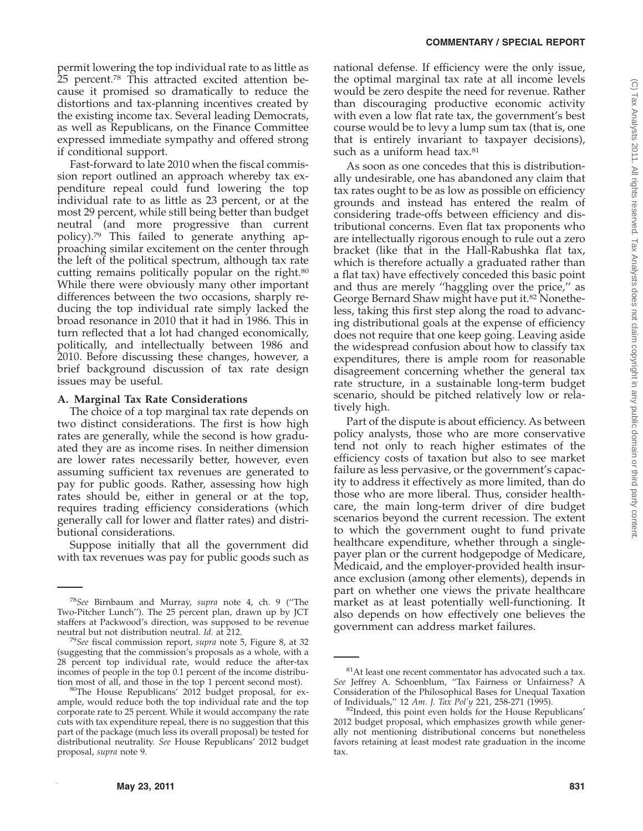permit lowering the top individual rate to as little as 25 percent.<sup>78</sup> This attracted excited attention because it promised so dramatically to reduce the distortions and tax-planning incentives created by the existing income tax. Several leading Democrats, as well as Republicans, on the Finance Committee expressed immediate sympathy and offered strong if conditional support.

Fast-forward to late 2010 when the fiscal commission report outlined an approach whereby tax expenditure repeal could fund lowering the top individual rate to as little as 23 percent, or at the most 29 percent, while still being better than budget neutral (and more progressive than current policy).79 This failed to generate anything approaching similar excitement on the center through the left of the political spectrum, although tax rate cutting remains politically popular on the right.<sup>80</sup> While there were obviously many other important differences between the two occasions, sharply reducing the top individual rate simply lacked the broad resonance in 2010 that it had in 1986. This in turn reflected that a lot had changed economically, politically, and intellectually between 1986 and 2010. Before discussing these changes, however, a brief background discussion of tax rate design issues may be useful.

## **A. Marginal Tax Rate Considerations**

The choice of a top marginal tax rate depends on two distinct considerations. The first is how high rates are generally, while the second is how graduated they are as income rises. In neither dimension are lower rates necessarily better, however, even assuming sufficient tax revenues are generated to pay for public goods. Rather, assessing how high rates should be, either in general or at the top, requires trading efficiency considerations (which generally call for lower and flatter rates) and distributional considerations.

Suppose initially that all the government did with tax revenues was pay for public goods such as national defense. If efficiency were the only issue, the optimal marginal tax rate at all income levels would be zero despite the need for revenue. Rather than discouraging productive economic activity with even a low flat rate tax, the government's best course would be to levy a lump sum tax (that is, one that is entirely invariant to taxpayer decisions), such as a uniform head tax.<sup>81</sup>

As soon as one concedes that this is distributionally undesirable, one has abandoned any claim that tax rates ought to be as low as possible on efficiency grounds and instead has entered the realm of considering trade-offs between efficiency and distributional concerns. Even flat tax proponents who are intellectually rigorous enough to rule out a zero bracket (like that in the Hall-Rabushka flat tax, which is therefore actually a graduated rather than a flat tax) have effectively conceded this basic point and thus are merely ''haggling over the price,'' as George Bernard Shaw might have put it.<sup>82</sup> Nonetheless, taking this first step along the road to advancing distributional goals at the expense of efficiency does not require that one keep going. Leaving aside the widespread confusion about how to classify tax expenditures, there is ample room for reasonable disagreement concerning whether the general tax rate structure, in a sustainable long-term budget scenario, should be pitched relatively low or relatively high.

Part of the dispute is about efficiency. As between policy analysts, those who are more conservative tend not only to reach higher estimates of the efficiency costs of taxation but also to see market failure as less pervasive, or the government's capacity to address it effectively as more limited, than do those who are more liberal. Thus, consider healthcare, the main long-term driver of dire budget scenarios beyond the current recession. The extent to which the government ought to fund private healthcare expenditure, whether through a singlepayer plan or the current hodgepodge of Medicare, Medicaid, and the employer-provided health insurance exclusion (among other elements), depends in part on whether one views the private healthcare market as at least potentially well-functioning. It also depends on how effectively one believes the government can address market failures.

<sup>78</sup>*See* Birnbaum and Murray, *supra* note 4, ch. 9 (''The Two-Pitcher Lunch''). The 25 percent plan, drawn up by JCT staffers at Packwood's direction, was supposed to be revenue neutral but not distribution neutral. *Id.* at 212.

<sup>&</sup>lt;sup>79</sup>See fiscal commission report, *supra* note 5, Figure 8, at 32 (suggesting that the commission's proposals as a whole, with a 28 percent top individual rate, would reduce the after-tax incomes of people in the top 0.1 percent of the income distribu-

tion most of all, and those in the top 1 percent second most).<br><sup>80</sup>The House Republicans' 2012 budget proposal, for example, would reduce both the top individual rate and the top corporate rate to 25 percent. While it would accompany the rate cuts with tax expenditure repeal, there is no suggestion that this part of the package (much less its overall proposal) be tested for distributional neutrality. *See* House Republicans' 2012 budget proposal, *supra* note 9.

<sup>&</sup>lt;sup>81</sup>At least one recent commentator has advocated such a tax. *See* Jeffrey A. Schoenblum, ''Tax Fairness or Unfairness? A Consideration of the Philosophical Bases for Unequal Taxation of Individuals," 12 Am. J. Tax Pol'y 221, 258-271 (1995).

<sup>&</sup>lt;sup>82</sup>Indeed, this point even holds for the House Republicans' 2012 budget proposal, which emphasizes growth while generally not mentioning distributional concerns but nonetheless favors retaining at least modest rate graduation in the income tax.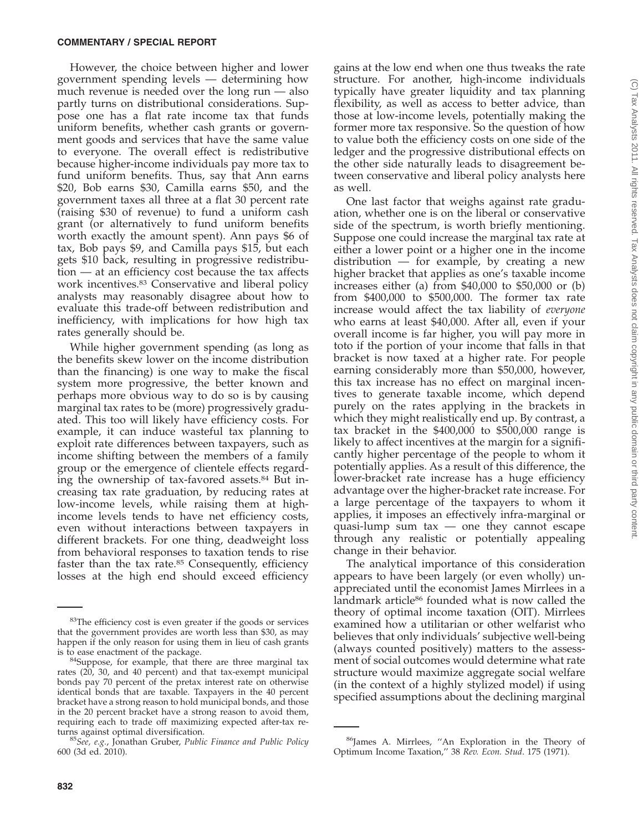However, the choice between higher and lower government spending levels — determining how much revenue is needed over the long run — also partly turns on distributional considerations. Suppose one has a flat rate income tax that funds uniform benefits, whether cash grants or government goods and services that have the same value to everyone. The overall effect is redistributive because higher-income individuals pay more tax to fund uniform benefits. Thus, say that Ann earns \$20, Bob earns \$30, Camilla earns \$50, and the government taxes all three at a flat 30 percent rate (raising \$30 of revenue) to fund a uniform cash grant (or alternatively to fund uniform benefits worth exactly the amount spent). Ann pays \$6 of tax, Bob pays \$9, and Camilla pays \$15, but each gets \$10 back, resulting in progressive redistribution — at an efficiency cost because the tax affects work incentives.83 Conservative and liberal policy analysts may reasonably disagree about how to evaluate this trade-off between redistribution and inefficiency, with implications for how high tax rates generally should be.

While higher government spending (as long as the benefits skew lower on the income distribution than the financing) is one way to make the fiscal system more progressive, the better known and perhaps more obvious way to do so is by causing marginal tax rates to be (more) progressively graduated. This too will likely have efficiency costs. For example, it can induce wasteful tax planning to exploit rate differences between taxpayers, such as income shifting between the members of a family group or the emergence of clientele effects regarding the ownership of tax-favored assets.84 But increasing tax rate graduation, by reducing rates at low-income levels, while raising them at highincome levels tends to have net efficiency costs, even without interactions between taxpayers in different brackets. For one thing, deadweight loss from behavioral responses to taxation tends to rise faster than the tax rate.<sup>85</sup> Consequently, efficiency losses at the high end should exceed efficiency gains at the low end when one thus tweaks the rate structure. For another, high-income individuals typically have greater liquidity and tax planning flexibility, as well as access to better advice, than those at low-income levels, potentially making the former more tax responsive. So the question of how to value both the efficiency costs on one side of the ledger and the progressive distributional effects on the other side naturally leads to disagreement between conservative and liberal policy analysts here as well.

One last factor that weighs against rate graduation, whether one is on the liberal or conservative side of the spectrum, is worth briefly mentioning. Suppose one could increase the marginal tax rate at either a lower point or a higher one in the income distribution — for example, by creating a new higher bracket that applies as one's taxable income increases either (a) from \$40,000 to \$50,000 or (b) from \$400,000 to \$500,000. The former tax rate increase would affect the tax liability of *everyone* who earns at least \$40,000. After all, even if your overall income is far higher, you will pay more in toto if the portion of your income that falls in that bracket is now taxed at a higher rate. For people earning considerably more than \$50,000, however, this tax increase has no effect on marginal incentives to generate taxable income, which depend purely on the rates applying in the brackets in which they might realistically end up. By contrast, a tax bracket in the \$400,000 to \$500,000 range is likely to affect incentives at the margin for a significantly higher percentage of the people to whom it potentially applies. As a result of this difference, the lower-bracket rate increase has a huge efficiency advantage over the higher-bracket rate increase. For a large percentage of the taxpayers to whom it applies, it imposes an effectively infra-marginal or quasi-lump sum  $tax -$  one they cannot escape through any realistic or potentially appealing change in their behavior.

The analytical importance of this consideration appears to have been largely (or even wholly) unappreciated until the economist James Mirrlees in a landmark article<sup>86</sup> founded what is now called the theory of optimal income taxation (OIT). Mirrlees examined how a utilitarian or other welfarist who believes that only individuals' subjective well-being (always counted positively) matters to the assessment of social outcomes would determine what rate structure would maximize aggregate social welfare (in the context of a highly stylized model) if using specified assumptions about the declining marginal

<sup>&</sup>lt;sup>83</sup>The efficiency cost is even greater if the goods or services that the government provides are worth less than \$30, as may happen if the only reason for using them in lieu of cash grants is to ease enactment of the package.

 $84$ Suppose, for example, that there are three marginal tax rates (20, 30, and 40 percent) and that tax-exempt municipal bonds pay 70 percent of the pretax interest rate on otherwise identical bonds that are taxable. Taxpayers in the 40 percent bracket have a strong reason to hold municipal bonds, and those in the 20 percent bracket have a strong reason to avoid them, requiring each to trade off maximizing expected after-tax re-<br>turns against optimal diversification.

<sup>&</sup>lt;sup>85</sup>See, e.g., Jonathan Gruber, Public Finance and Public Policy 600 (3d ed. 2010).

<sup>86</sup>James A. Mirrlees, ''An Exploration in the Theory of Optimum Income Taxation,'' 38 *Rev. Econ. Stud*. 175 (1971).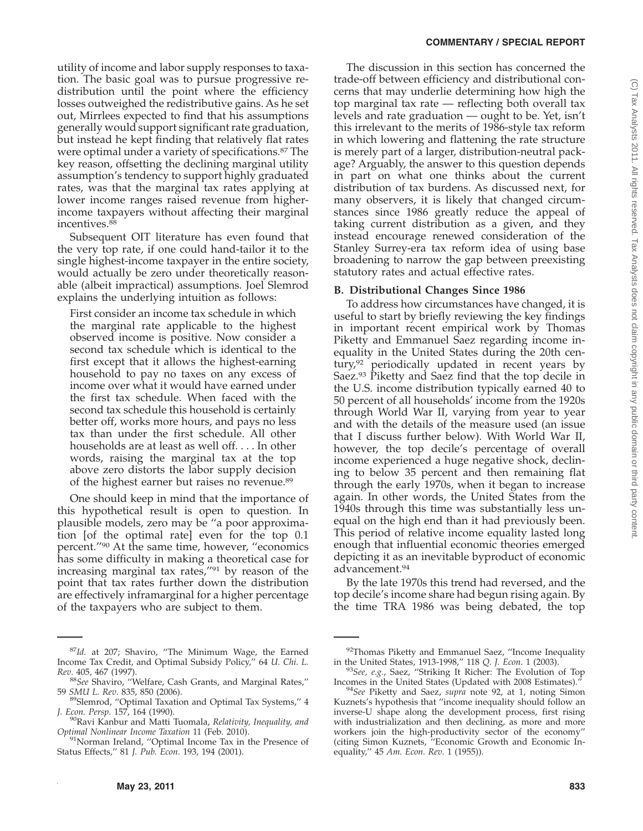utility of income and labor supply responses to taxation. The basic goal was to pursue progressive redistribution until the point where the efficiency losses outweighed the redistributive gains. As he set out, Mirrlees expected to find that his assumptions generally would support significant rate graduation, but instead he kept finding that relatively flat rates were optimal under a variety of specifications.<sup>87</sup> The key reason, offsetting the declining marginal utility assumption's tendency to support highly graduated rates, was that the marginal tax rates applying at lower income ranges raised revenue from higherincome taxpayers without affecting their marginal incentives.<sup>88</sup>

Subsequent OIT literature has even found that the very top rate, if one could hand-tailor it to the single highest-income taxpayer in the entire society, would actually be zero under theoretically reasonable (albeit impractical) assumptions. Joel Slemrod explains the underlying intuition as follows:

First consider an income tax schedule in which the marginal rate applicable to the highest observed income is positive. Now consider a second tax schedule which is identical to the first except that it allows the highest-earning household to pay no taxes on any excess of income over what it would have earned under the first tax schedule. When faced with the second tax schedule this household is certainly better off, works more hours, and pays no less tax than under the first schedule. All other households are at least as well off. . . . In other words, raising the marginal tax at the top above zero distorts the labor supply decision of the highest earner but raises no revenue.89

One should keep in mind that the importance of this hypothetical result is open to question. In plausible models, zero may be ''a poor approximation [of the optimal rate] even for the top 0.1 percent.''90 At the same time, however, ''economics has some difficulty in making a theoretical case for increasing marginal tax rates,''91 by reason of the point that tax rates further down the distribution are effectively inframarginal for a higher percentage of the taxpayers who are subject to them.

The discussion in this section has concerned the trade-off between efficiency and distributional concerns that may underlie determining how high the top marginal tax rate — reflecting both overall tax levels and rate graduation — ought to be. Yet, isn't this irrelevant to the merits of 1986-style tax reform in which lowering and flattening the rate structure is merely part of a larger, distribution-neutral package? Arguably, the answer to this question depends in part on what one thinks about the current distribution of tax burdens. As discussed next, for many observers, it is likely that changed circumstances since 1986 greatly reduce the appeal of taking current distribution as a given, and they instead encourage renewed consideration of the Stanley Surrey-era tax reform idea of using base broadening to narrow the gap between preexisting statutory rates and actual effective rates.

# **B. Distributional Changes Since 1986**

To address how circumstances have changed, it is useful to start by briefly reviewing the key findings in important recent empirical work by Thomas Piketty and Emmanuel Saez regarding income inequality in the United States during the 20th century,92 periodically updated in recent years by Saez.<sup>93</sup> Piketty and Saez find that the top decile in the U.S. income distribution typically earned 40 to 50 percent of all households' income from the 1920s through World War II, varying from year to year and with the details of the measure used (an issue that I discuss further below). With World War II, however, the top decile's percentage of overall income experienced a huge negative shock, declining to below 35 percent and then remaining flat through the early 1970s, when it began to increase again. In other words, the United States from the 1940s through this time was substantially less unequal on the high end than it had previously been. This period of relative income equality lasted long enough that influential economic theories emerged depicting it as an inevitable byproduct of economic advancement.94

By the late 1970s this trend had reversed, and the top decile's income share had begun rising again. By the time TRA 1986 was being debated, the top

<sup>87</sup>*Id.* at 207; Shaviro, ''The Minimum Wage, the Earned Income Tax Credit, and Optimal Subsidy Policy,'' 64 *U. Chi. L. Rev*. 405, 467 (1997).

<sup>&</sup>lt;sup>88</sup>See Shaviro, "Welfare, Cash Grants, and Marginal Rates,"<br>59 SMU L. Rev. 835, 850 (2006).

<sup>&</sup>lt;sup>89</sup> Slemrod, "Optimal Taxation and Optimal Tax Systems," 4 *J. Econ. Persp.* 157, 164 (1990).

<sup>&</sup>lt;sup>90</sup>Ravi Kanbur and Matti Tuomala, *Relativity*, *Inequality*, and *Optimal Nonlinear Income Taxation* 11 (Feb. 2010).<sup>91</sup>Norman Ireland, "Optimal Income Tax in the Presence of

Status Effects,'' 81 *J. Pub. Econ*. 193, 194 (2001).

 $92$ Thomas Piketty and Emmanuel Saez, "Income Inequality in the United States, 1913-1998," 118 Q. J. Econ. 1 (2003).

<sup>&</sup>lt;sup>93</sup>See, e.g., Saez, "Striking It Richer: The Evolution of Top Incomes in the United States (Updated with 2008 Estimates)*.*'' <sup>94</sup>*See* Piketty and Saez, *supra* note 92, at 1, noting Simon

Kuznets's hypothesis that ''income inequality should follow an inverse-U shape along the development process, first rising with industrialization and then declining, as more and more workers join the high-productivity sector of the economy'' (citing Simon Kuznets, ''Economic Growth and Economic Inequality,'' 45 *Am. Econ. Rev*. 1 (1955)).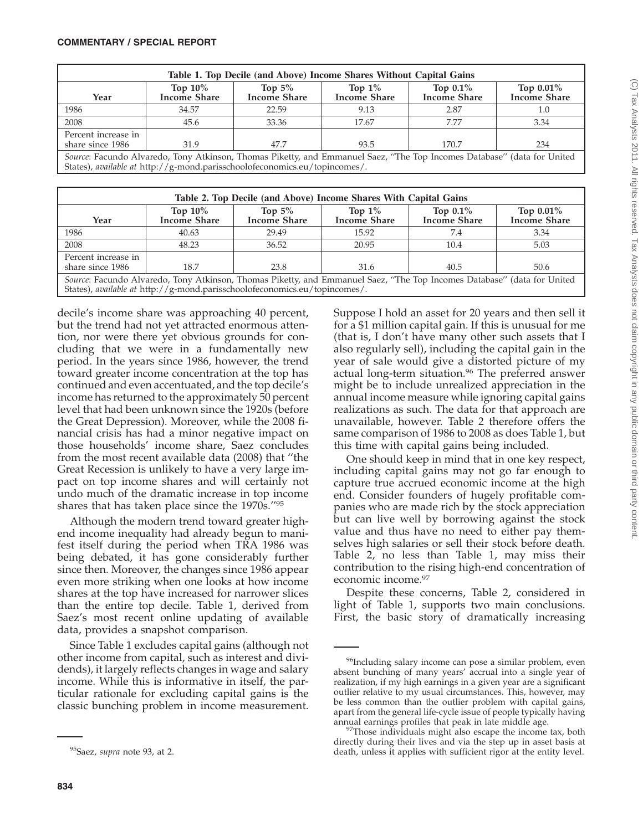| Table 1. Top Decile (and Above) Income Shares Without Capital Gains                                                                                                                                   |                                   |                                  |                                  |                                    |                                  |  |  |  |  |
|-------------------------------------------------------------------------------------------------------------------------------------------------------------------------------------------------------|-----------------------------------|----------------------------------|----------------------------------|------------------------------------|----------------------------------|--|--|--|--|
| Year                                                                                                                                                                                                  | Top $10\%$<br><b>Income Share</b> | Top $5\%$<br><b>Income Share</b> | Top $1\%$<br><b>Income Share</b> | Top $0.1\%$<br><b>Income Share</b> | Top 0.01%<br><b>Income Share</b> |  |  |  |  |
| 1986                                                                                                                                                                                                  | 34.57                             | 22.59                            | 9.13                             | 2.87                               | 1.0                              |  |  |  |  |
| 2008                                                                                                                                                                                                  | 45.6                              | 33.36                            | 17.67                            | 7.77                               | 3.34                             |  |  |  |  |
| Percent increase in<br>share since 1986                                                                                                                                                               | 31.9                              | 47.7                             | 93.5                             | 170.7                              | 234                              |  |  |  |  |
| Source: Facundo Alvaredo, Tony Atkinson, Thomas Piketty, and Emmanuel Saez, "The Top Incomes Database" (data for United<br>States), available at http://g-mond.parisschoolofeconomics.eu/topincomes/. |                                   |                                  |                                  |                                    |                                  |  |  |  |  |

| Table 2. Top Decile (and Above) Income Shares With Capital Gains                                                                                                                                      |                                   |                                  |                                  |                                    |                           |  |  |  |  |
|-------------------------------------------------------------------------------------------------------------------------------------------------------------------------------------------------------|-----------------------------------|----------------------------------|----------------------------------|------------------------------------|---------------------------|--|--|--|--|
| Year                                                                                                                                                                                                  | Top $10\%$<br><b>Income Share</b> | Top $5\%$<br><b>Income Share</b> | Top $1\%$<br><b>Income Share</b> | Top $0.1\%$<br><b>Income Share</b> | Top 0.01%<br>Income Share |  |  |  |  |
| 1986                                                                                                                                                                                                  | 40.63                             | 29.49                            | 15.92                            | 7.4                                | 3.34                      |  |  |  |  |
| 2008                                                                                                                                                                                                  | 48.23                             | 36.52                            | 20.95                            | 10.4                               | 5.03                      |  |  |  |  |
| Percent increase in<br>share since 1986                                                                                                                                                               | 18.7                              | 23.8                             | 31.6                             | 40.5                               | 50.6                      |  |  |  |  |
| Source: Facundo Alvaredo, Tony Atkinson, Thomas Piketty, and Emmanuel Saez, "The Top Incomes Database" (data for United<br>States), available at http://g-mond.parisschoolofeconomics.eu/topincomes/. |                                   |                                  |                                  |                                    |                           |  |  |  |  |

decile's income share was approaching 40 percent, but the trend had not yet attracted enormous attention, nor were there yet obvious grounds for concluding that we were in a fundamentally new period. In the years since 1986, however, the trend toward greater income concentration at the top has continued and even accentuated, and the top decile's income has returned to the approximately 50 percent level that had been unknown since the 1920s (before the Great Depression). Moreover, while the 2008 financial crisis has had a minor negative impact on those households' income share, Saez concludes from the most recent available data (2008) that ''the Great Recession is unlikely to have a very large impact on top income shares and will certainly not undo much of the dramatic increase in top income shares that has taken place since the 1970s.''95

Although the modern trend toward greater highend income inequality had already begun to manifest itself during the period when TRA 1986 was being debated, it has gone considerably further since then. Moreover, the changes since 1986 appear even more striking when one looks at how income shares at the top have increased for narrower slices than the entire top decile. Table 1, derived from Saez's most recent online updating of available data, provides a snapshot comparison.

Since Table 1 excludes capital gains (although not other income from capital, such as interest and dividends), it largely reflects changes in wage and salary income. While this is informative in itself, the particular rationale for excluding capital gains is the classic bunching problem in income measurement.

Suppose I hold an asset for 20 years and then sell it for a \$1 million capital gain. If this is unusual for me (that is, I don't have many other such assets that I also regularly sell), including the capital gain in the year of sale would give a distorted picture of my actual long-term situation.<sup>96</sup> The preferred answer might be to include unrealized appreciation in the annual income measure while ignoring capital gains realizations as such. The data for that approach are unavailable, however. Table 2 therefore offers the same comparison of 1986 to 2008 as does Table 1, but this time with capital gains being included.

One should keep in mind that in one key respect, including capital gains may not go far enough to capture true accrued economic income at the high end. Consider founders of hugely profitable companies who are made rich by the stock appreciation but can live well by borrowing against the stock value and thus have no need to either pay themselves high salaries or sell their stock before death. Table 2, no less than Table 1, may miss their contribution to the rising high-end concentration of economic income.97

Despite these concerns, Table 2, considered in light of Table 1, supports two main conclusions. First, the basic story of dramatically increasing

<sup>95</sup>Saez, *supra* note 93, at 2.

<sup>&</sup>lt;sup>96</sup>Including salary income can pose a similar problem, even absent bunching of many years' accrual into a single year of realization, if my high earnings in a given year are a significant outlier relative to my usual circumstances. This, however, may be less common than the outlier problem with capital gains, apart from the general life-cycle issue of people typically having

annual earnings profiles that peak in late middle age.<br><sup>97</sup>Those individuals might also escape the income tax, both directly during their lives and via the step up in asset basis at death, unless it applies with sufficient rigor at the entity level.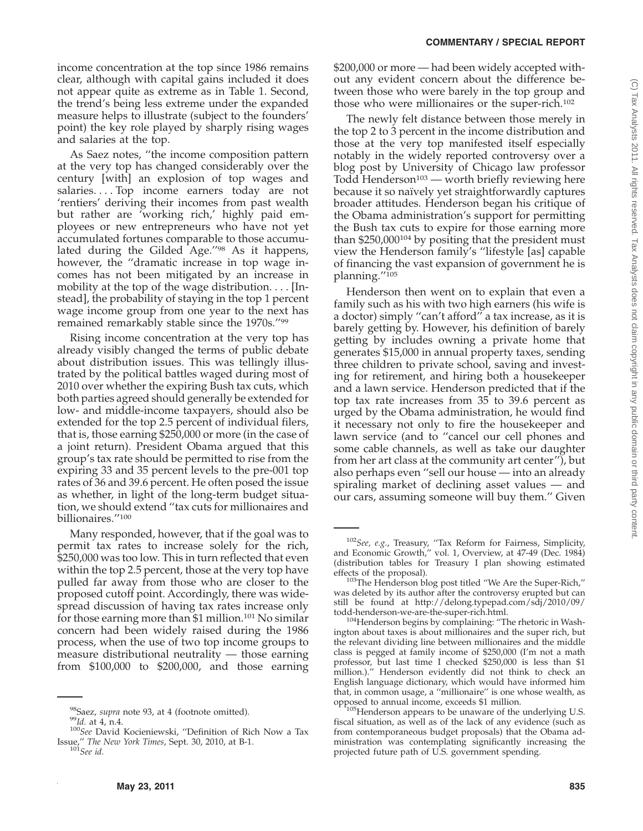income concentration at the top since 1986 remains clear, although with capital gains included it does not appear quite as extreme as in Table 1. Second, the trend's being less extreme under the expanded measure helps to illustrate (subject to the founders' point) the key role played by sharply rising wages and salaries at the top.

As Saez notes, ''the income composition pattern at the very top has changed considerably over the century [with] an explosion of top wages and salaries. . . . Top income earners today are not 'rentiers' deriving their incomes from past wealth but rather are 'working rich,' highly paid employees or new entrepreneurs who have not yet accumulated fortunes comparable to those accumulated during the Gilded Age.''98 As it happens, however, the ''dramatic increase in top wage incomes has not been mitigated by an increase in mobility at the top of the wage distribution.... [Instead], the probability of staying in the top 1 percent wage income group from one year to the next has remained remarkably stable since the 1970s.''99

Rising income concentration at the very top has already visibly changed the terms of public debate about distribution issues. This was tellingly illustrated by the political battles waged during most of 2010 over whether the expiring Bush tax cuts, which both parties agreed should generally be extended for low- and middle-income taxpayers, should also be extended for the top 2.5 percent of individual filers, that is, those earning \$250,000 or more (in the case of a joint return). President Obama argued that this group's tax rate should be permitted to rise from the expiring 33 and 35 percent levels to the pre-001 top rates of 36 and 39.6 percent. He often posed the issue as whether, in light of the long-term budget situation, we should extend ''tax cuts for millionaires and billionaires.''100

Many responded, however, that if the goal was to permit tax rates to increase solely for the rich, \$250,000 was too low. This in turn reflected that even within the top 2.5 percent, those at the very top have pulled far away from those who are closer to the proposed cutoff point. Accordingly, there was widespread discussion of having tax rates increase only for those earning more than \$1 million.101 No similar concern had been widely raised during the 1986 process, when the use of two top income groups to measure distributional neutrality — those earning from \$100,000 to \$200,000, and those earning

\$200,000 or more — had been widely accepted without any evident concern about the difference between those who were barely in the top group and those who were millionaires or the super-rich.<sup>102</sup>

The newly felt distance between those merely in the top 2 to 3 percent in the income distribution and those at the very top manifested itself especially notably in the widely reported controversy over a blog post by University of Chicago law professor Todd Henderson<sup>103</sup> — worth briefly reviewing here because it so naïvely yet straightforwardly captures broader attitudes. Henderson began his critique of the Obama administration's support for permitting the Bush tax cuts to expire for those earning more than \$250,000104 by positing that the president must view the Henderson family's ''lifestyle [as] capable of financing the vast expansion of government he is planning."<sup>105</sup>

Henderson then went on to explain that even a family such as his with two high earners (his wife is a doctor) simply ''can't afford'' a tax increase, as it is barely getting by. However, his definition of barely getting by includes owning a private home that generates \$15,000 in annual property taxes, sending three children to private school, saving and investing for retirement, and hiring both a housekeeper and a lawn service. Henderson predicted that if the top tax rate increases from 35 to 39.6 percent as urged by the Obama administration, he would find it necessary not only to fire the housekeeper and lawn service (and to ''cancel our cell phones and some cable channels, as well as take our daughter from her art class at the community art center''), but also perhaps even ''sell our house — into an already spiraling market of declining asset values — and our cars, assuming someone will buy them.'' Given

<sup>98</sup>Saez, *supra* note 93, at 4 (footnote omitted). <sup>99</sup>*Id.* at 4, n.4. <sup>100</sup>*See* David Kocieniewski, ''Definition of Rich Now a Tax Issue,'' *The New York Times*, Sept. 30, 2010, at B-1. <sup>101</sup>*See id.*

<sup>102</sup>*See, e.g.*, Treasury, ''Tax Reform for Fairness, Simplicity, and Economic Growth,'' vol. 1, Overview, at 47-49 (Dec. 1984) (distribution tables for Treasury I plan showing estimated

<sup>&</sup>lt;sup>103</sup>The Henderson blog post titled "We Are the Super-Rich," was deleted by its author after the controversy erupted but can still be found at http://delong.typepad.com/sdj/2010/09/<br>todd-henderson-we-are-the-super-rich.html.

<sup>&</sup>lt;sup>104</sup>Henderson begins by complaining: "The rhetoric in Washington about taxes is about millionaires and the super rich, but the relevant dividing line between millionaires and the middle class is pegged at family income of \$250,000 (I'm not a math professor, but last time I checked \$250,000 is less than \$1 million.).'' Henderson evidently did not think to check an English language dictionary, which would have informed him that, in common usage, a ''millionaire'' is one whose wealth, as

<sup>&</sup>lt;sup>105</sup>Henderson appears to be unaware of the underlying U.S. fiscal situation, as well as of the lack of any evidence (such as from contemporaneous budget proposals) that the Obama administration was contemplating significantly increasing the projected future path of U.S. government spending.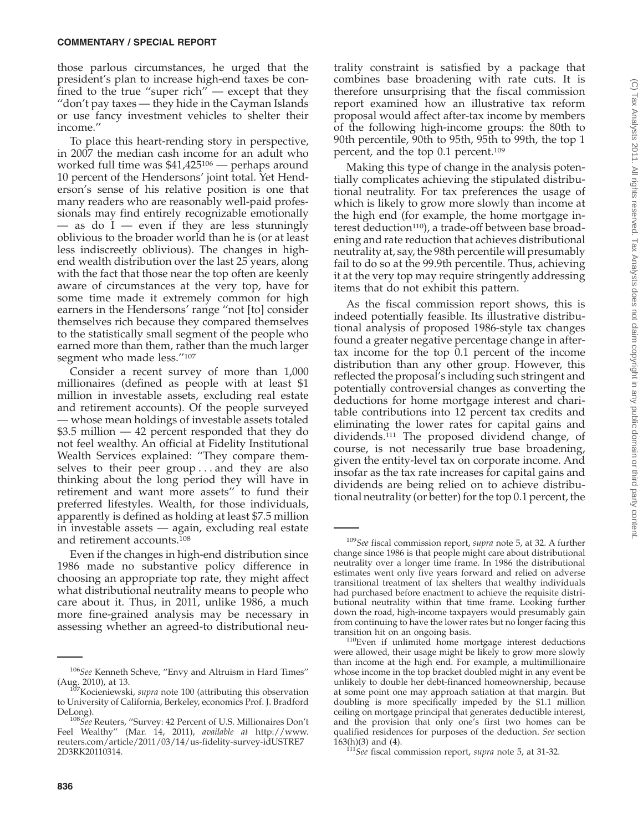those parlous circumstances, he urged that the president's plan to increase high-end taxes be confined to the true "super rich" — except that they ''don't pay taxes — they hide in the Cayman Islands or use fancy investment vehicles to shelter their income.''

To place this heart-rending story in perspective, in 2007 the median cash income for an adult who worked full time was \$41,425106 — perhaps around 10 percent of the Hendersons' joint total. Yet Henderson's sense of his relative position is one that many readers who are reasonably well-paid professionals may find entirely recognizable emotionally — as do  $I$  — even if they are less stunningly oblivious to the broader world than he is (or at least less indiscreetly oblivious). The changes in highend wealth distribution over the last 25 years, along with the fact that those near the top often are keenly aware of circumstances at the very top, have for some time made it extremely common for high earners in the Hendersons' range ''not [to] consider themselves rich because they compared themselves to the statistically small segment of the people who earned more than them, rather than the much larger segment who made less.''107

Consider a recent survey of more than 1,000 millionaires (defined as people with at least \$1 million in investable assets, excluding real estate and retirement accounts). Of the people surveyed — whose mean holdings of investable assets totaled \$3.5 million — 42 percent responded that they do not feel wealthy. An official at Fidelity Institutional Wealth Services explained: ''They compare themselves to their peer group . . . and they are also thinking about the long period they will have in retirement and want more assets'' to fund their preferred lifestyles. Wealth, for those individuals, apparently is defined as holding at least \$7.5 million in investable assets — again, excluding real estate and retirement accounts.108

Even if the changes in high-end distribution since 1986 made no substantive policy difference in choosing an appropriate top rate, they might affect what distributional neutrality means to people who care about it. Thus, in 2011, unlike 1986, a much more fine-grained analysis may be necessary in assessing whether an agreed-to distributional neutrality constraint is satisfied by a package that combines base broadening with rate cuts. It is therefore unsurprising that the fiscal commission report examined how an illustrative tax reform proposal would affect after-tax income by members of the following high-income groups: the 80th to 90th percentile, 90th to 95th, 95th to 99th, the top 1 percent, and the top 0.1 percent.109

Making this type of change in the analysis potentially complicates achieving the stipulated distributional neutrality. For tax preferences the usage of which is likely to grow more slowly than income at the high end (for example, the home mortgage interest deduction<sup>110</sup>), a trade-off between base broadening and rate reduction that achieves distributional neutrality at, say, the 98th percentile will presumably fail to do so at the 99.9th percentile. Thus, achieving it at the very top may require stringently addressing items that do not exhibit this pattern.

As the fiscal commission report shows, this is indeed potentially feasible. Its illustrative distributional analysis of proposed 1986-style tax changes found a greater negative percentage change in aftertax income for the top 0.1 percent of the income distribution than any other group. However, this reflected the proposal's including such stringent and potentially controversial changes as converting the deductions for home mortgage interest and charitable contributions into 12 percent tax credits and eliminating the lower rates for capital gains and dividends.111 The proposed dividend change, of course, is not necessarily true base broadening, given the entity-level tax on corporate income. And insofar as the tax rate increases for capital gains and dividends are being relied on to achieve distributional neutrality (or better) for the top 0.1 percent, the

<sup>106</sup>*See* Kenneth Scheve, ''Envy and Altruism in Hard Times''

<sup>(</sup>Aug. 2010), at 13. 107Kocieniewski, *supra* note 100 (attributing this observation to University of California, Berkeley, economics Prof. J. Bradford

DeLong). <sup>108</sup>*See* Reuters, ''Survey: 42 Percent of U.S. Millionaires Don't Feel Wealthy'' (Mar. 14, 2011), *available at* http://www. reuters.com/article/2011/03/14/us-fidelity-survey-idUSTRE7 2D3RK20110314.

<sup>109</sup>*See* fiscal commission report, *supra* note 5, at 32. A further change since 1986 is that people might care about distributional neutrality over a longer time frame. In 1986 the distributional estimates went only five years forward and relied on adverse transitional treatment of tax shelters that wealthy individuals had purchased before enactment to achieve the requisite distributional neutrality within that time frame. Looking further down the road, high-income taxpayers would presumably gain from continuing to have the lower rates but no longer facing this

<sup>&</sup>lt;sup>110</sup>Even if unlimited home mortgage interest deductions were allowed, their usage might be likely to grow more slowly than income at the high end. For example, a multimillionaire whose income in the top bracket doubled might in any event be unlikely to double her debt-financed homeownership, because at some point one may approach satiation at that margin. But doubling is more specifically impeded by the \$1.1 million ceiling on mortgage principal that generates deductible interest, and the provision that only one's first two homes can be qualified residences for purposes of the deduction. *See* section

<sup>163(</sup>h)(3) and (4). <sup>111</sup>*See* fiscal commission report, *supra* note 5, at 31-32.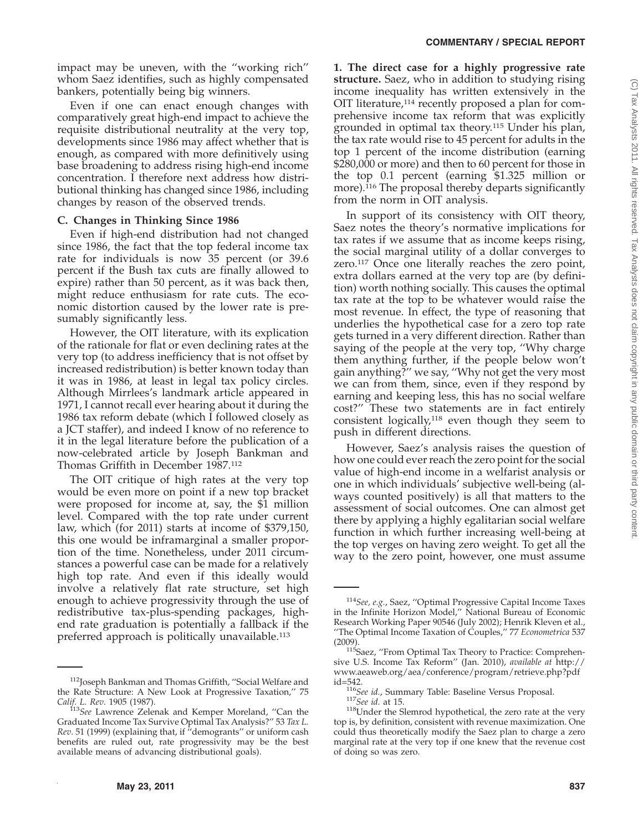impact may be uneven, with the ''working rich'' whom Saez identifies, such as highly compensated bankers, potentially being big winners.

Even if one can enact enough changes with comparatively great high-end impact to achieve the requisite distributional neutrality at the very top, developments since 1986 may affect whether that is enough, as compared with more definitively using base broadening to address rising high-end income concentration. I therefore next address how distributional thinking has changed since 1986, including changes by reason of the observed trends.

## **C. Changes in Thinking Since 1986**

Even if high-end distribution had not changed since 1986, the fact that the top federal income tax rate for individuals is now 35 percent (or 39.6 percent if the Bush tax cuts are finally allowed to expire) rather than 50 percent, as it was back then, might reduce enthusiasm for rate cuts. The economic distortion caused by the lower rate is presumably significantly less.

However, the OIT literature, with its explication of the rationale for flat or even declining rates at the very top (to address inefficiency that is not offset by increased redistribution) is better known today than it was in 1986, at least in legal tax policy circles. Although Mirrlees's landmark article appeared in 1971, I cannot recall ever hearing about it during the 1986 tax reform debate (which I followed closely as a JCT staffer), and indeed I know of no reference to it in the legal literature before the publication of a now-celebrated article by Joseph Bankman and Thomas Griffith in December 1987.112

The OIT critique of high rates at the very top would be even more on point if a new top bracket were proposed for income at, say, the \$1 million level. Compared with the top rate under current law, which (for 2011) starts at income of \$379,150, this one would be inframarginal a smaller proportion of the time. Nonetheless, under 2011 circumstances a powerful case can be made for a relatively high top rate. And even if this ideally would involve a relatively flat rate structure, set high enough to achieve progressivity through the use of redistributive tax-plus-spending packages, highend rate graduation is potentially a fallback if the preferred approach is politically unavailable.113

**1. The direct case for a highly progressive rate structure.** Saez, who in addition to studying rising income inequality has written extensively in the OIT literature,114 recently proposed a plan for comprehensive income tax reform that was explicitly grounded in optimal tax theory.115 Under his plan, the tax rate would rise to 45 percent for adults in the top 1 percent of the income distribution (earning \$280,000 or more) and then to 60 percent for those in the top 0.1 percent (earning \$1.325 million or more).<sup>116</sup> The proposal thereby departs significantly from the norm in OIT analysis.

In support of its consistency with OIT theory, Saez notes the theory's normative implications for tax rates if we assume that as income keeps rising, the social marginal utility of a dollar converges to zero.117 Once one literally reaches the zero point, extra dollars earned at the very top are (by definition) worth nothing socially. This causes the optimal tax rate at the top to be whatever would raise the most revenue. In effect, the type of reasoning that underlies the hypothetical case for a zero top rate gets turned in a very different direction. Rather than saying of the people at the very top, ''Why charge them anything further, if the people below won't gain anything?'' we say, ''Why not get the very most we can from them, since, even if they respond by earning and keeping less, this has no social welfare cost?'' These two statements are in fact entirely consistent logically,<sup>118</sup> even though they seem to push in different directions.

However, Saez's analysis raises the question of how one could ever reach the zero point for the social value of high-end income in a welfarist analysis or one in which individuals' subjective well-being (always counted positively) is all that matters to the assessment of social outcomes. One can almost get there by applying a highly egalitarian social welfare function in which further increasing well-being at the top verges on having zero weight. To get all the way to the zero point, however, one must assume

<sup>&</sup>lt;sup>112</sup>Joseph Bankman and Thomas Griffith, "Social Welfare and the Rate Structure: A New Look at Progressive Taxation,'' 75 *Calif. L. Rev*. 1905 (1987). <sup>113</sup>*See* Lawrence Zelenak and Kemper Moreland, ''Can the

Graduated Income Tax Survive Optimal Tax Analysis?'' 53 *Tax L. Rev*. 51 (1999) (explaining that, if ''demogrants'' or uniform cash benefits are ruled out, rate progressivity may be the best available means of advancing distributional goals).

<sup>114</sup>*See, e.g.*, Saez, ''Optimal Progressive Capital Income Taxes in the Infinite Horizon Model,'' National Bureau of Economic Research Working Paper 90546 (July 2002); Henrik Kleven et al., ''The Optimal Income Taxation of Couples,'' 77 *Econometrica* 537

<sup>(2009).&</sup>lt;br><sup>115</sup>Saez, "From Optimal Tax Theory to Practice: Comprehensive U.S. Income Tax Reform'' (Jan. 2010), *available at* http:// www.aeaweb.org/aea/conference/program/retrieve.php?pdf id=542.<br><sup>116</sup>*See id.*, Summary Table: Baseline Versus Proposal.<br><sup>117</sup>*See id.* at 15. <sup>118</sup>Under the Slemrod hypothetical, the zero rate at the very

top is, by definition, consistent with revenue maximization. One could thus theoretically modify the Saez plan to charge a zero marginal rate at the very top if one knew that the revenue cost of doing so was zero.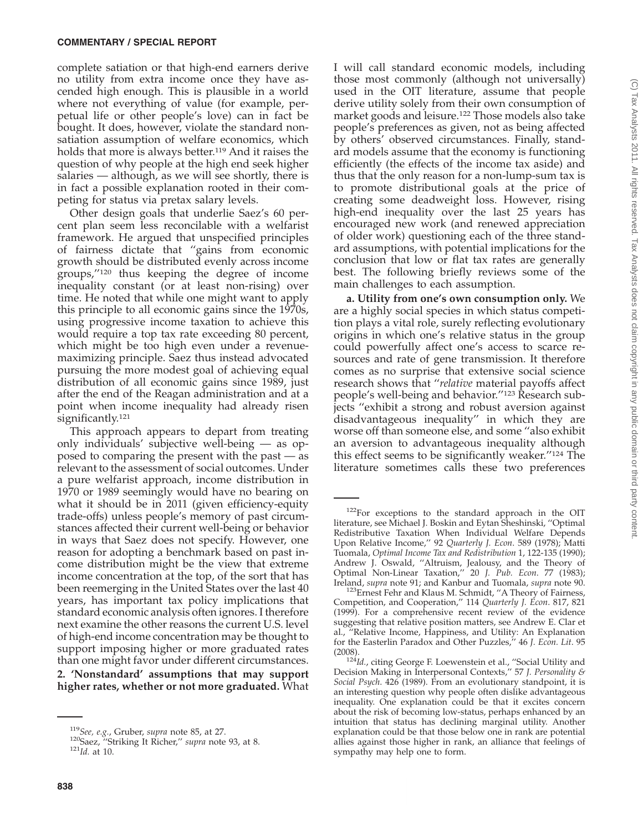complete satiation or that high-end earners derive no utility from extra income once they have ascended high enough. This is plausible in a world where not everything of value (for example, perpetual life or other people's love) can in fact be bought. It does, however, violate the standard nonsatiation assumption of welfare economics, which holds that more is always better.<sup>119</sup> And it raises the question of why people at the high end seek higher salaries — although, as we will see shortly, there is in fact a possible explanation rooted in their competing for status via pretax salary levels.

Other design goals that underlie Saez's 60 percent plan seem less reconcilable with a welfarist framework. He argued that unspecified principles of fairness dictate that ''gains from economic growth should be distributed evenly across income groups,''120 thus keeping the degree of income inequality constant (or at least non-rising) over time. He noted that while one might want to apply this principle to all economic gains since the 1970s, using progressive income taxation to achieve this would require a top tax rate exceeding 80 percent, which might be too high even under a revenuemaximizing principle. Saez thus instead advocated pursuing the more modest goal of achieving equal distribution of all economic gains since 1989, just after the end of the Reagan administration and at a point when income inequality had already risen significantly.<sup>121</sup>

This approach appears to depart from treating only individuals' subjective well-being — as opposed to comparing the present with the past — as relevant to the assessment of social outcomes. Under a pure welfarist approach, income distribution in 1970 or 1989 seemingly would have no bearing on what it should be in 2011 (given efficiency-equity trade-offs) unless people's memory of past circumstances affected their current well-being or behavior in ways that Saez does not specify. However, one reason for adopting a benchmark based on past income distribution might be the view that extreme income concentration at the top, of the sort that has been reemerging in the United States over the last 40 years, has important tax policy implications that standard economic analysis often ignores. I therefore next examine the other reasons the current U.S. level of high-end income concentration may be thought to support imposing higher or more graduated rates than one might favor under different circumstances. **2. 'Nonstandard' assumptions that may support higher rates, whether or not more graduated.** What

I will call standard economic models, including those most commonly (although not universally) used in the OIT literature, assume that people derive utility solely from their own consumption of market goods and leisure.122 Those models also take people's preferences as given, not as being affected by others' observed circumstances. Finally, standard models assume that the economy is functioning efficiently (the effects of the income tax aside) and thus that the only reason for a non-lump-sum tax is to promote distributional goals at the price of creating some deadweight loss. However, rising high-end inequality over the last 25 years has encouraged new work (and renewed appreciation of older work) questioning each of the three standard assumptions, with potential implications for the conclusion that low or flat tax rates are generally best. The following briefly reviews some of the main challenges to each assumption.

**a. Utility from one's own consumption only.** We are a highly social species in which status competition plays a vital role, surely reflecting evolutionary origins in which one's relative status in the group could powerfully affect one's access to scarce resources and rate of gene transmission. It therefore comes as no surprise that extensive social science research shows that ''*relative* material payoffs affect people's well-being and behavior.''123 Research subjects ''exhibit a strong and robust aversion against disadvantageous inequality'' in which they are worse off than someone else, and some ''also exhibit an aversion to advantageous inequality although this effect seems to be significantly weaker.''124 The literature sometimes calls these two preferences

<sup>119</sup>*See, e.g.*, Gruber, *supra* note 85, at 27. 120Saez, ''Striking It Richer,'' *supra* note 93, at 8. <sup>121</sup>*Id.* at 10.

<sup>&</sup>lt;sup>122</sup>For exceptions to the standard approach in the OIT literature, see Michael J. Boskin and Eytan Sheshinski, ''Optimal Redistributive Taxation When Individual Welfare Depends Upon Relative Income,'' 92 *Quarterly J. Econ*. 589 (1978); Matti Tuomala, *Optimal Income Tax and Redistribution* 1, 122-135 (1990); Andrew J. Oswald, ''Altruism, Jealousy, and the Theory of Optimal Non-Linear Taxation,'' 20 *J. Pub. Econ*. 77 (1983);

Ireland, *supra* note 91; and Kanbur and Tuomala, *supra* note 90. 123Ernest Fehr and Klaus M. Schmidt, ''A Theory of Fairness, Competition, and Cooperation,'' 114 *Quarterly J. Econ*. 817, 821 (1999). For a comprehensive recent review of the evidence suggesting that relative position matters, see Andrew E. Clar et al., ''Relative Income, Happiness, and Utility: An Explanation for the Easterlin Paradox and Other Puzzles,'' 46 *J. Econ. Lit*. 95

<sup>(2008).</sup>  $124Id$ , citing George F. Loewenstein et al., "Social Utility and Decision Making in Interpersonal Contexts,'' 57 *J. Personality & Social Psych*. 426 (1989). From an evolutionary standpoint, it is an interesting question why people often dislike advantageous inequality. One explanation could be that it excites concern about the risk of becoming low-status, perhaps enhanced by an intuition that status has declining marginal utility. Another explanation could be that those below one in rank are potential allies against those higher in rank, an alliance that feelings of sympathy may help one to form.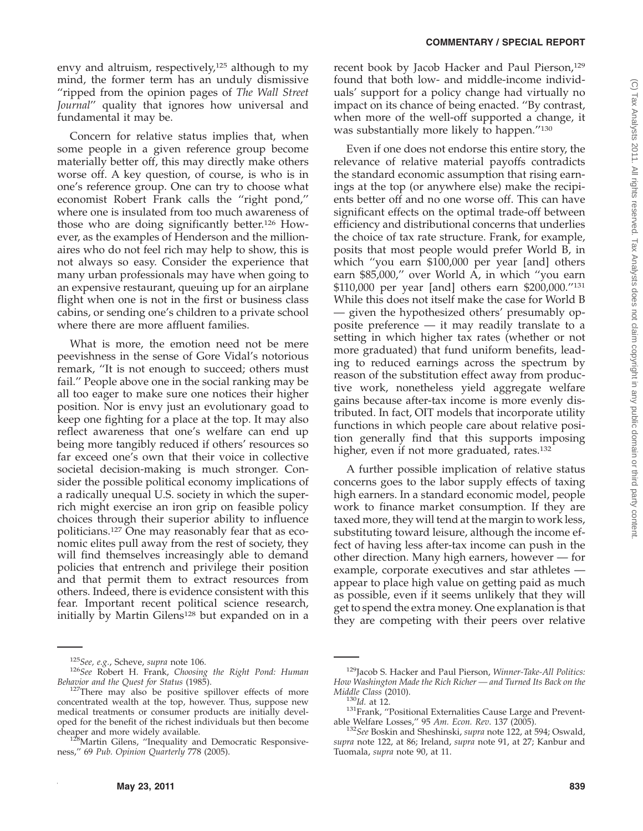envy and altruism, respectively,<sup>125</sup> although to my mind, the former term has an unduly dismissive ''ripped from the opinion pages of *The Wall Street Journal*'' quality that ignores how universal and fundamental it may be.

Concern for relative status implies that, when some people in a given reference group become materially better off, this may directly make others worse off. A key question, of course, is who is in one's reference group. One can try to choose what economist Robert Frank calls the ''right pond,'' where one is insulated from too much awareness of those who are doing significantly better.126 However, as the examples of Henderson and the millionaires who do not feel rich may help to show, this is not always so easy. Consider the experience that many urban professionals may have when going to an expensive restaurant, queuing up for an airplane flight when one is not in the first or business class cabins, or sending one's children to a private school where there are more affluent families.

What is more, the emotion need not be mere peevishness in the sense of Gore Vidal's notorious remark, ''It is not enough to succeed; others must fail.'' People above one in the social ranking may be all too eager to make sure one notices their higher position. Nor is envy just an evolutionary goad to keep one fighting for a place at the top. It may also reflect awareness that one's welfare can end up being more tangibly reduced if others' resources so far exceed one's own that their voice in collective societal decision-making is much stronger. Consider the possible political economy implications of a radically unequal U.S. society in which the superrich might exercise an iron grip on feasible policy choices through their superior ability to influence politicians.127 One may reasonably fear that as economic elites pull away from the rest of society, they will find themselves increasingly able to demand policies that entrench and privilege their position and that permit them to extract resources from others. Indeed, there is evidence consistent with this fear. Important recent political science research, initially by Martin Gilens<sup>128</sup> but expanded on in a

recent book by Jacob Hacker and Paul Pierson,<sup>129</sup> found that both low- and middle-income individuals' support for a policy change had virtually no impact on its chance of being enacted. ''By contrast, when more of the well-off supported a change, it was substantially more likely to happen.''130

Even if one does not endorse this entire story, the relevance of relative material payoffs contradicts the standard economic assumption that rising earnings at the top (or anywhere else) make the recipients better off and no one worse off. This can have significant effects on the optimal trade-off between efficiency and distributional concerns that underlies the choice of tax rate structure. Frank, for example, posits that most people would prefer World B, in which ''you earn \$100,000 per year [and] others earn \$85,000,'' over World A, in which ''you earn \$110,000 per year [and] others earn \$200,000.''131 While this does not itself make the case for World B — given the hypothesized others' presumably opposite preference — it may readily translate to a setting in which higher tax rates (whether or not more graduated) that fund uniform benefits, leading to reduced earnings across the spectrum by reason of the substitution effect away from productive work, nonetheless yield aggregate welfare gains because after-tax income is more evenly distributed. In fact, OIT models that incorporate utility functions in which people care about relative position generally find that this supports imposing higher, even if not more graduated, rates.<sup>132</sup>

A further possible implication of relative status concerns goes to the labor supply effects of taxing high earners. In a standard economic model, people work to finance market consumption. If they are taxed more, they will tend at the margin to work less, substituting toward leisure, although the income effect of having less after-tax income can push in the other direction. Many high earners, however — for example, corporate executives and star athletes appear to place high value on getting paid as much as possible, even if it seems unlikely that they will get to spend the extra money. One explanation is that they are competing with their peers over relative

<sup>125</sup>*See, e.g.*, Scheve, *supra* note 106. <sup>126</sup>*See* Robert H. Frank, *Choosing the Right Pond: Human*

*Behavior and the Quest for Status* (1985). <sup>127</sup>There may also be positive spillover effects of more concentrated wealth at the top, however. Thus, suppose new medical treatments or consumer products are initially developed for the benefit of the richest individuals but then become cheaper and more widely available.

<sup>&</sup>lt;sup>128</sup>Martin Gilens, "Inequality and Democratic Responsiveness,'' 69 *Pub. Opinion Quarterly* 778 (2005).

<sup>129</sup>Jacob S. Hacker and Paul Pierson, *Winner-Take-All Politics: How Washington Made the Rich Richer — and Turned Its Back on the*

<sup>&</sup>lt;sup>130</sup>Id. at 12.<br><sup>131</sup>Frank, ''Positional Externalities Cause Large and Prevent-<br>able Welfare Losses,'' 95 Am. Econ. Rev. 137 (2005).

<sup>&</sup>lt;sup>132</sup>See Boskin and Sheshinski, *supra* note 122, at 594; Oswald, *supra* note 122, at 86; Ireland, *supra* note 91, at 27; Kanbur and Tuomala, *supra* note 90, at 11.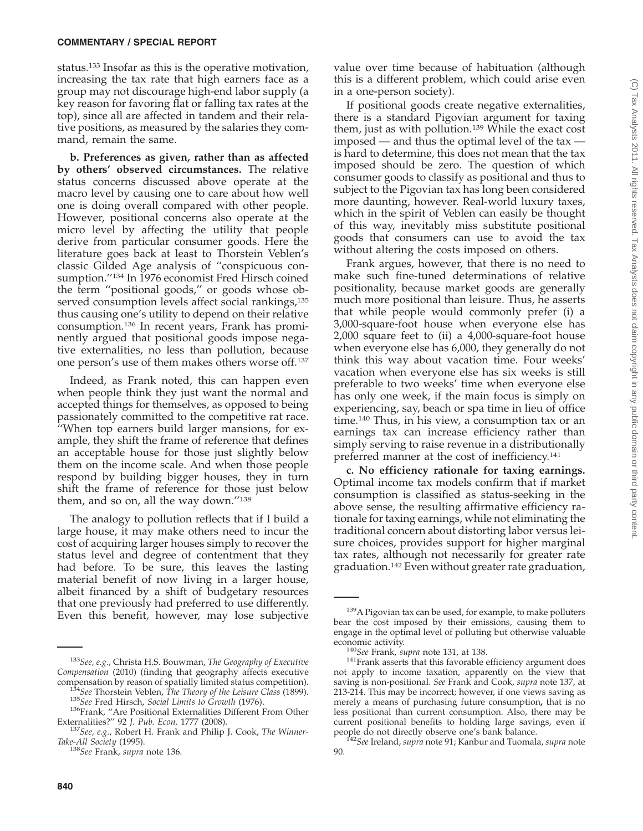status.<sup>133</sup> Insofar as this is the operative motivation, increasing the tax rate that high earners face as a group may not discourage high-end labor supply (a key reason for favoring flat or falling tax rates at the top), since all are affected in tandem and their relative positions, as measured by the salaries they command, remain the same.

**b. Preferences as given, rather than as affected by others' observed circumstances.** The relative status concerns discussed above operate at the macro level by causing one to care about how well one is doing overall compared with other people. However, positional concerns also operate at the micro level by affecting the utility that people derive from particular consumer goods. Here the literature goes back at least to Thorstein Veblen's classic Gilded Age analysis of ''conspicuous consumption.''134 In 1976 economist Fred Hirsch coined the term ''positional goods,'' or goods whose observed consumption levels affect social rankings,<sup>135</sup> thus causing one's utility to depend on their relative consumption.136 In recent years, Frank has prominently argued that positional goods impose negative externalities, no less than pollution, because one person's use of them makes others worse off.137

Indeed, as Frank noted, this can happen even when people think they just want the normal and accepted things for themselves, as opposed to being passionately committed to the competitive rat race. ''When top earners build larger mansions, for example, they shift the frame of reference that defines an acceptable house for those just slightly below them on the income scale. And when those people respond by building bigger houses, they in turn shift the frame of reference for those just below them, and so on, all the way down."138

The analogy to pollution reflects that if I build a large house, it may make others need to incur the cost of acquiring larger houses simply to recover the status level and degree of contentment that they had before. To be sure, this leaves the lasting material benefit of now living in a larger house, albeit financed by a shift of budgetary resources that one previously had preferred to use differently. Even this benefit, however, may lose subjective

value over time because of habituation (although this is a different problem, which could arise even in a one-person society).

If positional goods create negative externalities, there is a standard Pigovian argument for taxing them, just as with pollution.139 While the exact cost imposed — and thus the optimal level of the tax is hard to determine, this does not mean that the tax imposed should be zero. The question of which consumer goods to classify as positional and thus to subject to the Pigovian tax has long been considered more daunting, however. Real-world luxury taxes, which in the spirit of Veblen can easily be thought of this way, inevitably miss substitute positional goods that consumers can use to avoid the tax without altering the costs imposed on others.

Frank argues, however, that there is no need to make such fine-tuned determinations of relative positionality, because market goods are generally much more positional than leisure. Thus, he asserts that while people would commonly prefer (i) a 3,000-square-foot house when everyone else has 2,000 square feet to (ii) a 4,000-square-foot house when everyone else has 6,000, they generally do not think this way about vacation time. Four weeks' vacation when everyone else has six weeks is still preferable to two weeks' time when everyone else has only one week, if the main focus is simply on experiencing, say, beach or spa time in lieu of office time.140 Thus, in his view, a consumption tax or an earnings tax can increase efficiency rather than simply serving to raise revenue in a distributionally preferred manner at the cost of inefficiency.141

**c. No efficiency rationale for taxing earnings.** Optimal income tax models confirm that if market consumption is classified as status-seeking in the above sense, the resulting affirmative efficiency rationale for taxing earnings, while not eliminating the traditional concern about distorting labor versus leisure choices, provides support for higher marginal tax rates, although not necessarily for greater rate graduation.142 Even without greater rate graduation,

<sup>133</sup>*See, e.g.*, Christa H.S. Bouwman, *The Geography of Executive Compensation* (2010) (finding that geography affects executive

compensation by reason of spatially limited status competition).<br>
<sup>134</sup>See Thorstein Veblen, *The Theory of the Leisure Class* (1899).<br>
<sup>135</sup>See Fred Hirsch, *Social Limits to Growth* (1976).<br>
<sup>136</sup>Frank, "Are Positional E

<sup>&</sup>lt;sup>137</sup> See, e.g., Robert H. Frank and Philip J. Cook, *The Winner-*

*Take-All Society* (1995). <sup>138</sup>*See* Frank, *supra* note 136.

<sup>&</sup>lt;sup>139</sup>A Pigovian tax can be used, for example, to make polluters bear the cost imposed by their emissions, causing them to engage in the optimal level of polluting but otherwise valuable

<sup>&</sup>lt;sup>140</sup>See Frank, *supra* note 131, at 138.<br><sup>141</sup>Frank asserts that this favorable efficiency argument does not apply to income taxation, apparently on the view that saving is non-positional. *See* Frank and Cook, *supra* note 137, at 213-214. This may be incorrect; however, if one views saving as merely a means of purchasing future consumption**,** that is no less positional than current consumption. Also, there may be current positional benefits to holding large savings, even if

<sup>&</sup>lt;sup>f42</sup>See Ireland, *supra* note 91; Kanbur and Tuomala, *supra* note 90.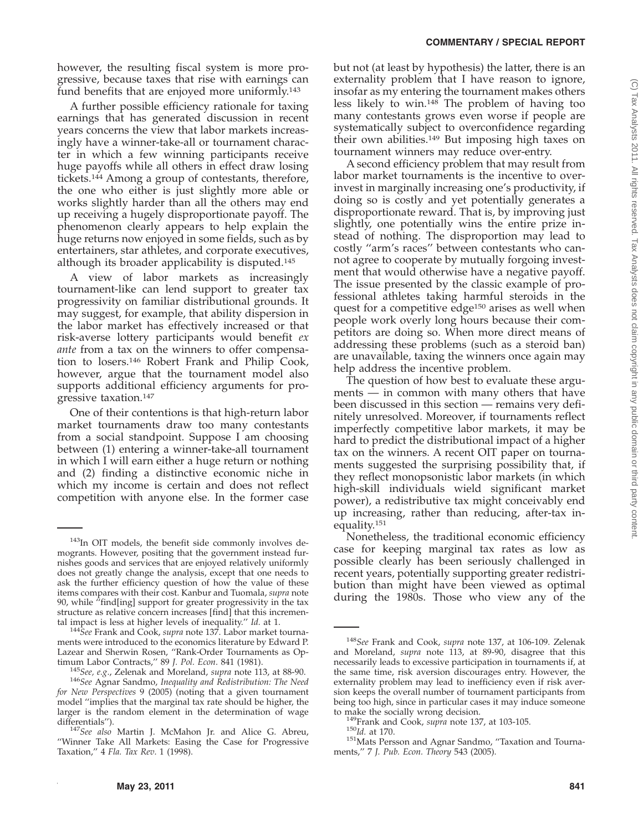however, the resulting fiscal system is more progressive, because taxes that rise with earnings can fund benefits that are enjoyed more uniformly.<sup>143</sup>

A further possible efficiency rationale for taxing earnings that has generated discussion in recent years concerns the view that labor markets increasingly have a winner-take-all or tournament character in which a few winning participants receive huge payoffs while all others in effect draw losing tickets.144 Among a group of contestants, therefore, the one who either is just slightly more able or works slightly harder than all the others may end up receiving a hugely disproportionate payoff. The phenomenon clearly appears to help explain the huge returns now enjoyed in some fields, such as by entertainers, star athletes, and corporate executives, although its broader applicability is disputed.145

A view of labor markets as increasingly tournament-like can lend support to greater tax progressivity on familiar distributional grounds. It may suggest, for example, that ability dispersion in the labor market has effectively increased or that risk-averse lottery participants would benefit *ex ante* from a tax on the winners to offer compensation to losers.146 Robert Frank and Philip Cook, however, argue that the tournament model also supports additional efficiency arguments for progressive taxation.147

One of their contentions is that high-return labor market tournaments draw too many contestants from a social standpoint. Suppose I am choosing between (1) entering a winner-take-all tournament in which I will earn either a huge return or nothing and (2) finding a distinctive economic niche in which my income is certain and does not reflect competition with anyone else. In the former case

<sup>144</sup>See Frank and Cook, *supra* note 137. Labor market tournaments were introduced to the economics literature by Edward P. Lazear and Sherwin Rosen, "Rank-Order Tournaments as Optimum Labor Contracts," 89 J. Pol. Econ. 841 (1981). but not (at least by hypothesis) the latter, there is an externality problem that I have reason to ignore, insofar as my entering the tournament makes others less likely to win.148 The problem of having too many contestants grows even worse if people are systematically subject to overconfidence regarding their own abilities.149 But imposing high taxes on tournament winners may reduce over-entry.

A second efficiency problem that may result from labor market tournaments is the incentive to overinvest in marginally increasing one's productivity, if doing so is costly and yet potentially generates a disproportionate reward. That is, by improving just slightly, one potentially wins the entire prize instead of nothing. The disproportion may lead to costly ''arm's races'' between contestants who cannot agree to cooperate by mutually forgoing investment that would otherwise have a negative payoff. The issue presented by the classic example of professional athletes taking harmful steroids in the quest for a competitive edge<sup>150</sup> arises as well when people work overly long hours because their competitors are doing so. When more direct means of addressing these problems (such as a steroid ban) are unavailable, taxing the winners once again may help address the incentive problem.

The question of how best to evaluate these arguments — in common with many others that have been discussed in this section — remains very definitely unresolved. Moreover, if tournaments reflect imperfectly competitive labor markets, it may be hard to predict the distributional impact of a higher tax on the winners. A recent OIT paper on tournaments suggested the surprising possibility that, if they reflect monopsonistic labor markets (in which high-skill individuals wield significant market power), a redistributive tax might conceivably end up increasing, rather than reducing, after-tax inequality.151

Nonetheless, the traditional economic efficiency case for keeping marginal tax rates as low as possible clearly has been seriously challenged in recent years, potentially supporting greater redistribution than might have been viewed as optimal during the 1980s. Those who view any of the

<sup>143</sup>In OIT models, the benefit side commonly involves demogrants. However, positing that the government instead furnishes goods and services that are enjoyed relatively uniformly does not greatly change the analysis, except that one needs to ask the further efficiency question of how the value of these items compares with their cost. Kanbur and Tuomala, *supra* note 90, while  $\hat{f}$  find [ing] support for greater progressivity in the tax structure as relative concern increases [find] that this incremental impact is less at higher levels of inequality."  $Id$ . at 1.

<sup>&</sup>lt;sup>145</sup>See, e.g., Zelenak and Moreland, *supra* note 113, at 88-90.<br><sup>146</sup>See Agnar Sandmo, *Inequality and Redistribution: The Need for New Perspectives* 9 (2005) (noting that a given tournament model ''implies that the marginal tax rate should be higher, the larger is the random element in the determination of wage

differentials''). <sup>147</sup>*See also* Martin J. McMahon Jr. and Alice G. Abreu, ''Winner Take All Markets: Easing the Case for Progressive Taxation,'' 4 *Fla. Tax Rev*. 1 (1998).

<sup>148</sup>*See* Frank and Cook, *supra* note 137, at 106-109. Zelenak and Moreland, *supra* note 113, at 89-90, disagree that this necessarily leads to excessive participation in tournaments if, at the same time, risk aversion discourages entry. However, the externality problem may lead to inefficiency even if risk aversion keeps the overall number of tournament participants from being too high, since in particular cases it may induce someone to make the socially wrong decision.

<sup>&</sup>lt;sup>149</sup>Frank and Cook, *supra* note 137, at 103-105.<br><sup>150</sup>*Id.* at 170. 15170. 151Mats Persson and Agnar Sandmo, ''Taxation and Tournaments,'' 7 *J. Pub. Econ. Theory* 543 (2005).